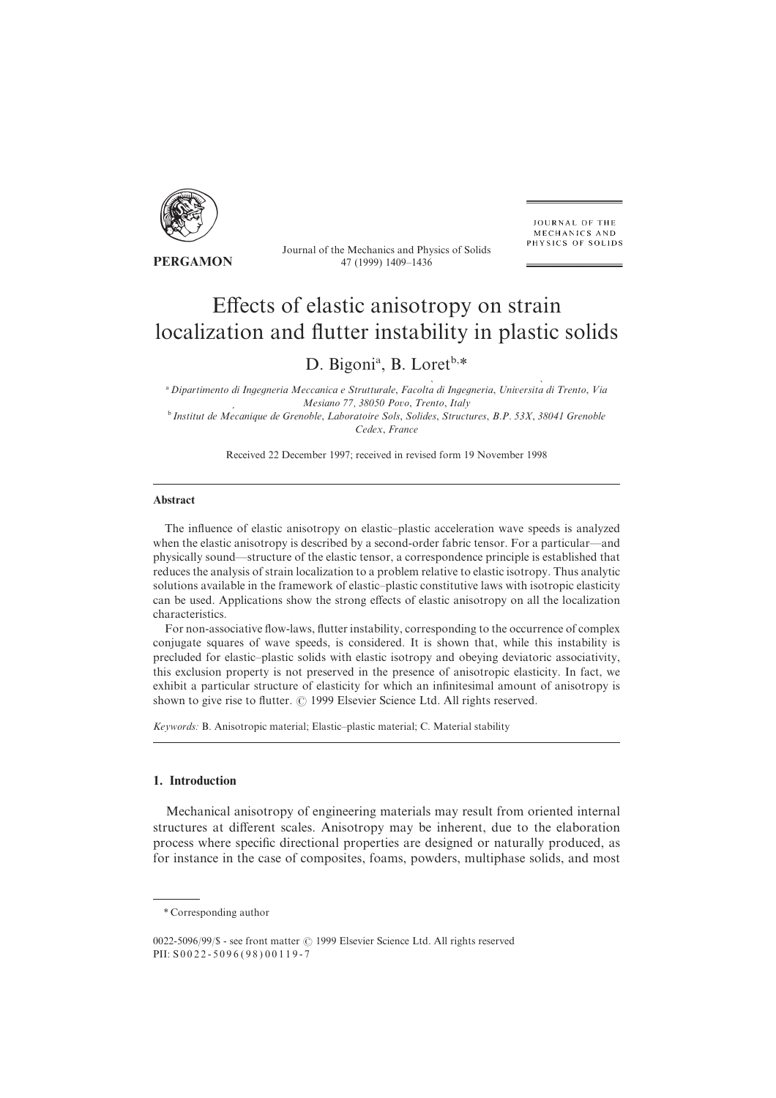

PERGAMON

Journal of the Mechanics and Physics of Solids 47 (1999) 1409-1436

**JOURNAL OF THE** MECHANICS AND PHYSICS OF SOLIDS

# Effects of elastic anisotropy on strain localization and flutter instability in plastic solids

# D. Bigoni<sup>a</sup>, B. Loret<sup>b,\*</sup>

<sup>a</sup> Dipartimento di Ingegneria Meccanica e Strutturale, Facolta di Ingegneria, Universita di Trento, Via Mesiano 77, 38050 Povo, Trento, Italy b Institut de Mecanique de Grenoble, Laboratoire Sols, Solides, Structures, B.P. 53X, 38041 Grenoble Cedex, France

Received 22 December 1997: received in revised form 19 November 1998

#### Abstract

The influence of elastic anisotropy on elastic–plastic acceleration wave speeds is analyzed when the elastic anisotropy is described by a second-order fabric tensor. For a particular—and physically sound—structure of the elastic tensor, a correspondence principle is established that reduces the analysis of strain localization to a problem relative to elastic isotropy. Thus analytic solutions available in the framework of elastic–plastic constitutive laws with isotropic elasticity can be used. Applications show the strong effects of elastic anisotropy on all the localization characteristics.

For non-associative flow-laws, flutter instability, corresponding to the occurrence of complex conjugate squares of wave speeds, is considered. It is shown that, while this instability is precluded for elastic–plastic solids with elastic isotropy and obeying deviatoric associativity, this exclusion property is not preserved in the presence of anisotropic elasticity. In fact, we exhibit a particular structure of elasticity for which an infinitesimal amount of anisotropy is shown to give rise to flutter.  $\odot$  1999 Elsevier Science Ltd. All rights reserved.

Keywords: B. Anisotropic material; Elastic–plastic material; C. Material stability

# 1. Introduction

Mechanical anisotropy of engineering materials may result from oriented internal structures at different scales. Anisotropy may be inherent, due to the elaboration process where specific directional properties are designed or naturally produced, as for instance in the case of composites, foams, powders, multiphase solids, and most

Corresponding author

<sup>0022-5096/99/\$ -</sup> see front matter © 1999 Elsevier Science Ltd. All rights reserved PII: S0022-5096(98)00119-7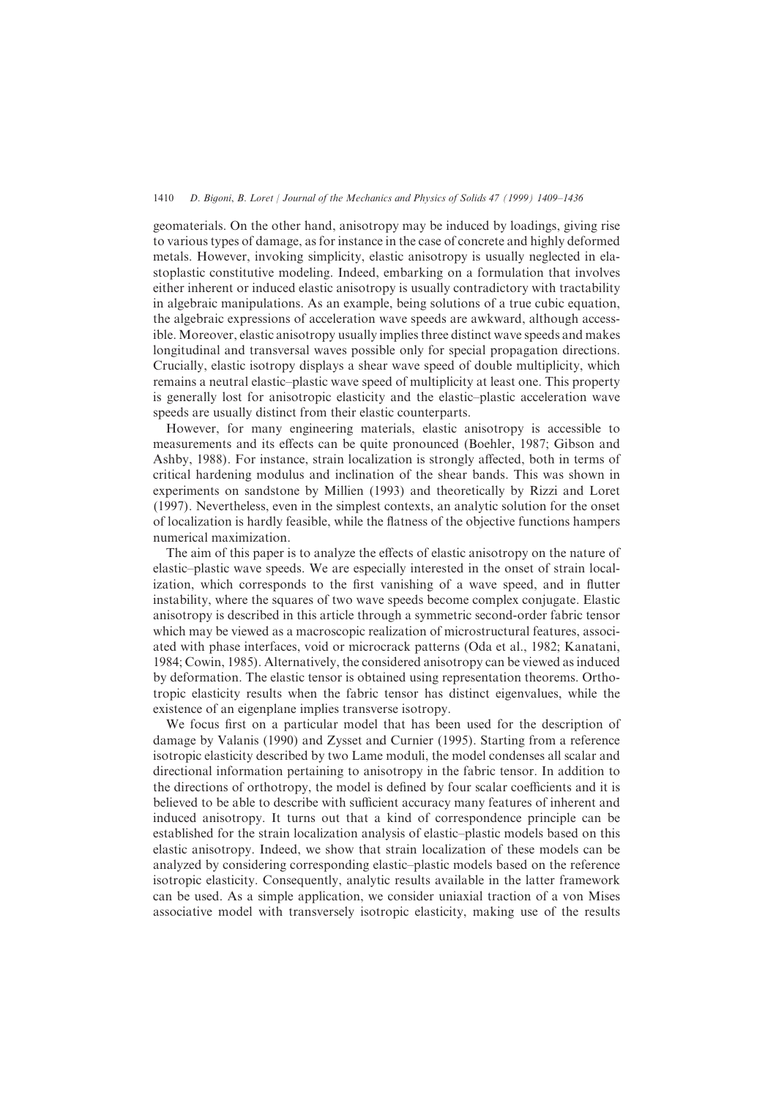geomaterials. On the other hand, anisotropy may be induced by loadings, giving rise to various types of damage\ as for instance in the case of concrete and highly deformed metals. However, invoking simplicity, elastic anisotropy is usually neglected in elastoplastic constitutive modeling. Indeed, embarking on a formulation that involves either inherent or induced elastic anisotropy is usually contradictory with tractability in algebraic manipulations. As an example, being solutions of a true cubic equation, the algebraic expressions of acceleration wave speeds are awkward, although accessible. Moreover, elastic anisotropy usually implies three distinct wave speeds and makes longitudinal and transversal waves possible only for special propagation directions. Crucially, elastic isotropy displays a shear wave speed of double multiplicity, which remains a neutral elastic–plastic wave speed of multiplicity at least one. This property is generally lost for anisotropic elasticity and the elastic–plastic acceleration wave speeds are usually distinct from their elastic counterparts.

However, for many engineering materials, elastic anisotropy is accessible to measurements and its effects can be quite pronounced (Boehler, 1987; Gibson and Ashby, 1988). For instance, strain localization is strongly affected, both in terms of critical hardening modulus and inclination of the shear bands[ This was shown in experiments on sandstone by Millien (1993) and theoretically by Rizzi and Loret  $(1997)$ . Nevertheless, even in the simplest contexts, an analytic solution for the onset of localization is hardly feasible, while the flatness of the objective functions hampers numerical maximization.

The aim of this paper is to analyze the effects of elastic anisotropy on the nature of elastic–plastic wave speeds. We are especially interested in the onset of strain local $ization$ , which corresponds to the first vanishing of a wave speed, and in flutter instability, where the squares of two wave speeds become complex conjugate. Elastic anisotropy is described in this article through a symmetric second-order fabric tensor which may be viewed as a macroscopic realization of microstructural features, associated with phase interfaces, void or microcrack patterns (Oda et al., 1982; Kanatani, 1984; Cowin, 1985). Alternatively, the considered anisotropy can be viewed as induced by deformation. The elastic tensor is obtained using representation theorems. Orthotropic elasticity results when the fabric tensor has distinct eigenvalues\ while the existence of an eigenplane implies transverse isotropy.

We focus first on a particular model that has been used for the description of damage by Valanis (1990) and Zysset and Curnier (1995). Starting from a reference isotropic elasticity described by two Lame moduli\ the model condenses all scalar and directional information pertaining to anisotropy in the fabric tensor. In addition to the directions of orthotropy, the model is defined by four scalar coefficients and it is believed to be able to describe with sufficient accuracy many features of inherent and induced anisotropy. It turns out that a kind of correspondence principle can be established for the strain localization analysis of elastic-plastic models based on this elastic anisotropy. Indeed, we show that strain localization of these models can be analyzed by considering corresponding elastic–plastic models based on the reference isotropic elasticity. Consequently, analytic results available in the latter framework can be used. As a simple application, we consider uniaxial traction of a von Mises associative model with transversely isotropic elasticity\ making use of the results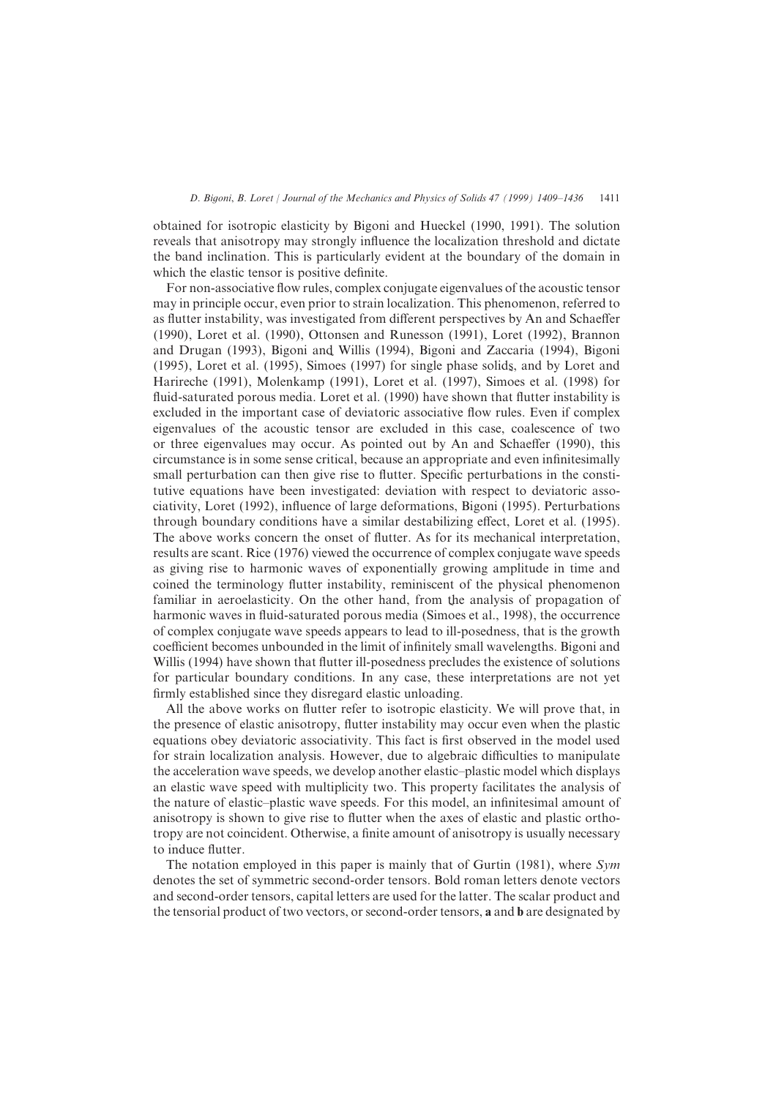obtained for isotropic elasticity by Bigoni and Hueckel  $(1990, 1991)$ . The solution reveals that anisotropy may strongly influence the localization threshold and dictate the band inclination. This is particularly evident at the boundary of the domain in which the elastic tensor is positive definite.

For non-associative flow rules, complex conjugate eigenvalues of the acoustic tensor may in principle occur, even prior to strain localization. This phenomenon, referred to as flutter instability, was investigated from different perspectives by An and Schaeffer (1990), Loret et al. (1990), Ottonsen and Runesson (1991), Loret (1992), Brannon and Drugan  $(1993)$ , Bigoni and Willis  $(1994)$ , Bigoni and Zaccaria  $(1994)$ , Bigoni  $(1995)$ , Loret et al.  $(1995)$ , Simoes  $(1997)$  for single phase solids, and by Loret and  $(1995)$ , Loret and Harireche (1991), Molenkamp (1991), Loret et al. (1997), Simoes et al. (1998) for fluid-saturated porous media. Loret et al.  $(1990)$  have shown that flutter instability is excluded in the important case of deviatoric associative flow rules. Even if complex eigenvalues of the acoustic tensor are excluded in this case\ coalescence of two or three eigenvalues may occur. As pointed out by An and Schaeffer (1990), this circumstance is in some sense critical, because an appropriate and even infinitesimally small perturbation can then give rise to flutter. Specific perturbations in the constitutive equations have been investigated: deviation with respect to deviatoric associativity, Loret (1992), influence of large deformations, Bigoni (1995). Perturbations through boundary conditions have a similar destabilizing effect, Loret et al.  $(1995)$ . The above works concern the onset of flutter. As for its mechanical interpretation, results are scant. Rice (1976) viewed the occurrence of complex conjugate wave speeds as giving rise to harmonic waves of exponentially growing amplitude in time and coined the terminology flutter instability, reminiscent of the physical phenomenon familiar in aeroelasticity. On the other hand, from the analysis of propagation of  $h$ armonic waves in fluid-saturated porous media (Simoes et al., 1998), the occurrence of complex conjugate wave speeds appears to lead to ill-posedness, that is the growth coefficient becomes unbounded in the limit of infinitely small wavelengths. Bigoni and Willis (1994) have shown that flutter ill-posedness precludes the existence of solutions for particular boundary conditions. In any case, these interpretations are not yet firmly established since they disregard elastic unloading.

All the above works on flutter refer to isotropic elasticity. We will prove that, in the presence of elastic anisotropy, flutter instability may occur even when the plastic equations obey deviatoric associativity. This fact is first observed in the model used for strain localization analysis. However, due to algebraic difficulties to manipulate the acceleration wave speeds, we develop another elastic–plastic model which displays an elastic wave speed with multiplicity two. This property facilitates the analysis of the nature of elastic–plastic wave speeds. For this model, an infinitesimal amount of anisotropy is shown to give rise to flutter when the axes of elastic and plastic orthotropy are not coincident. Otherwise, a finite amount of anisotropy is usually necessary to induce flutter.

The notation employed in this paper is mainly that of Gurtin  $(1981)$ , where Sym denotes the set of symmetric second-order tensors. Bold roman letters denote vectors and second-order tensors, capital letters are used for the latter. The scalar product and the tensorial product of two vectors, or second-order tensors, **a** and **b** are designated by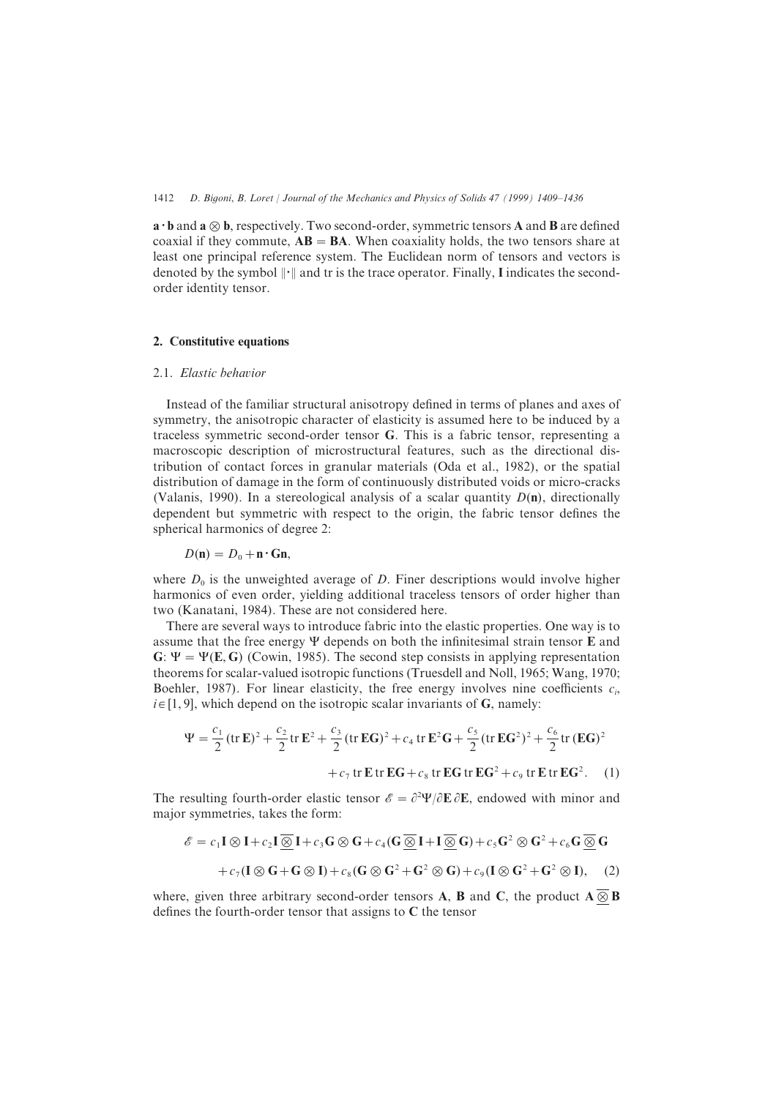$\mathbf{a} \cdot \mathbf{b}$  and  $\mathbf{a} \otimes \mathbf{b}$ , respectively. Two second-order, symmetric tensors **A** and **B** are defined coaxial if they commute,  $AB = BA$ . When coaxiality holds, the two tensors share at least one principal reference system. The Euclidean norm of tensors and vectors is denoted by the symbol  $\|\cdot\|$  and tr is the trace operator. Finally, I indicates the secondorder identity tensor.

#### 2. Constitutive equations

#### 2.1. Elastic behavior

Instead of the familiar structural anisotropy defined in terms of planes and axes of symmetry, the anisotropic character of elasticity is assumed here to be induced by a traceless symmetric second-order tensor  $G$ . This is a fabric tensor, representing a macroscopic description of microstructural features, such as the directional distribution of contact forces in granular materials (Oda et al.,  $1982$ ), or the spatial distribution of damage in the form of continuously distributed voids or micro-cracks (Valanis, 1990). In a stereological analysis of a scalar quantity  $D(n)$ , directionally dependent but symmetric with respect to the origin, the fabric tensor defines the spherical harmonics of degree 2:

$$
D(\mathbf{n})=D_0+\mathbf{n}\cdot\mathbf{G}\mathbf{n},
$$

where  $D_0$  is the unweighted average of D. Finer descriptions would involve higher harmonics of even order, yielding additional traceless tensors of order higher than two (Kanatani, 1984). These are not considered here.

There are several ways to introduce fabric into the elastic properties. One way is to assume that the free energy  $\Psi$  depends on both the infinitesimal strain tensor  $E$  and G:  $\Psi = \Psi(E, G)$  (Cowin, 1985). The second step consists in applying representation theorems for scalar-valued isotropic functions (Truesdell and Noll, 1965; Wang, 1970; Boehler, 1987). For linear elasticity, the free energy involves nine coefficients  $c_i$ ,  $i \in [1, 9]$ , which depend on the isotropic scalar invariants of G, namely:

$$
\Psi = \frac{c_1}{2} (\text{tr } \mathbf{E})^2 + \frac{c_2}{2} \text{tr } \mathbf{E}^2 + \frac{c_3}{2} (\text{tr } \mathbf{E} \mathbf{G})^2 + c_4 \text{ tr } \mathbf{E}^2 \mathbf{G} + \frac{c_5}{2} (\text{tr } \mathbf{E} \mathbf{G}^2)^2 + \frac{c_6}{2} \text{tr } (\mathbf{E} \mathbf{G})^2
$$
  
+  $c_7 \text{ tr } \mathbf{E} \text{tr } \mathbf{E} \mathbf{G} + c_8 \text{ tr } \mathbf{E} \mathbf{G} \text{ tr } \mathbf{E} \mathbf{G}^2 + c_9 \text{ tr } \mathbf{E} \text{ tr } \mathbf{E} \mathbf{G}^2. (1)$ 

The resulting fourth-order elastic tensor  $\mathscr{E} = \frac{\partial^2 \Psi}{\partial E \partial E}$ , endowed with minor and major symmetries, takes the form:

$$
\mathscr{E} = c_1 \mathbf{I} \otimes \mathbf{I} + c_2 \mathbf{I} \overline{\otimes} \mathbf{I} + c_3 \mathbf{G} \otimes \mathbf{G} + c_4 (\mathbf{G} \overline{\otimes} \mathbf{I} + \mathbf{I} \overline{\otimes} \mathbf{G}) + c_5 \mathbf{G}^2 \otimes \mathbf{G}^2 + c_6 \mathbf{G} \overline{\otimes} \mathbf{G}
$$
  
+ 
$$
c_7 (\mathbf{I} \otimes \mathbf{G} + \mathbf{G} \otimes \mathbf{I}) + c_8 (\mathbf{G} \otimes \mathbf{G}^2 + \mathbf{G}^2 \otimes \mathbf{G}) + c_9 (\mathbf{I} \otimes \mathbf{G}^2 + \mathbf{G}^2 \otimes \mathbf{I}), \quad (2)
$$

where, given three arbitrary second-order tensors **A**, **B** and **C**, the product  $A\overline{\otimes}B$ defines the fourth-order tensor that assigns to  $C$  the tensor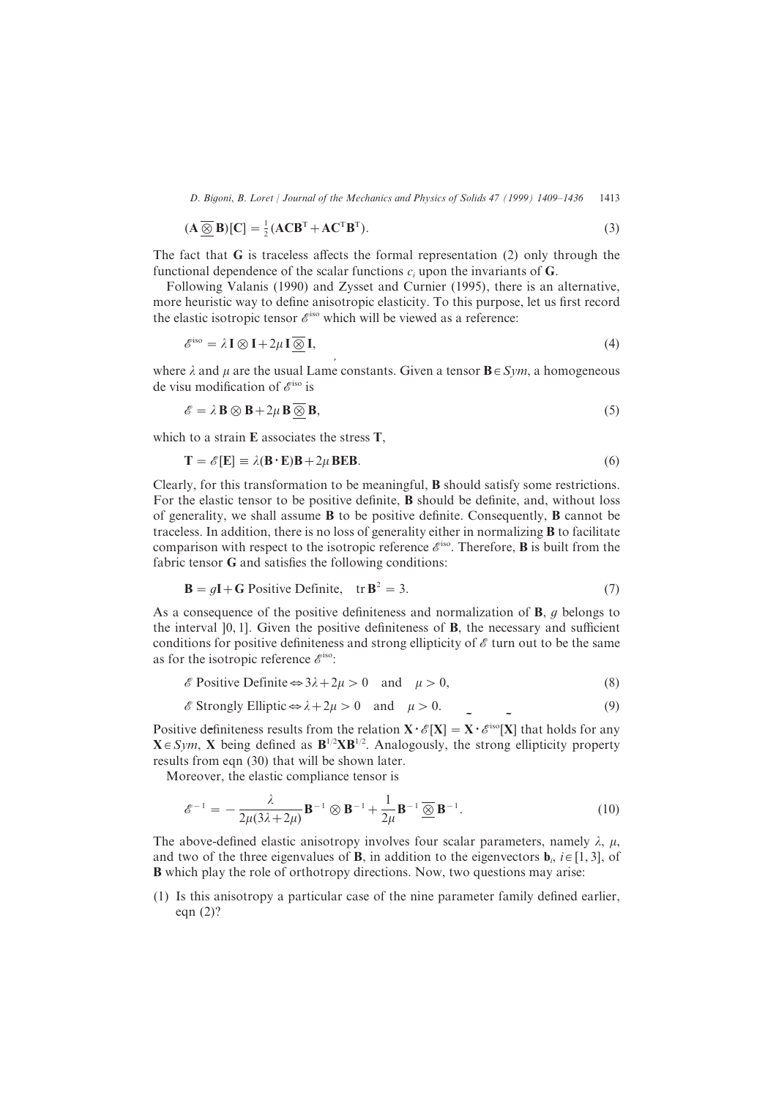$$
(\mathbf{A}\overline{\otimes}\mathbf{B})[\mathbf{C}] = \frac{1}{2}(\mathbf{AC}\mathbf{B}^{\mathrm{T}} + \mathbf{AC}^{\mathrm{T}}\mathbf{B}^{\mathrm{T}}).
$$
\n(3)

The fact that  $\bf{G}$  is traceless affects the formal representation (2) only through the functional dependence of the scalar functions  $c_i$  upon the invariants of G.

Following Valanis (1990) and Zysset and Curnier (1995), there is an alternative, more heuristic way to define anisotropic elasticity. To this purpose, let us first record the elastic isotropic tensor  $\mathscr{E}^{\text{iso}}$  which will be viewed as a reference:

$$
\mathscr{E}^{\text{iso}} = \lambda \mathbf{I} \otimes \mathbf{I} + 2\mu \mathbf{I} \overline{\otimes} \mathbf{I},\tag{4}
$$

where  $\lambda$  and  $\mu$  are the usual Lame constants. Given a tensor  $\mathbf{B} \in Sym$ , a homogeneous de visu modification of  $\mathscr{E}^{\text{iso}}$  is

$$
\mathscr{E} = \lambda \mathbf{B} \otimes \mathbf{B} + 2\mu \mathbf{B} \underline{\otimes} \mathbf{B},\tag{5}
$$

which to a strain  $E$  associates the stress  $T$ ,

$$
\mathbf{T} = \mathcal{E}[\mathbf{E}] \equiv \lambda(\mathbf{B} \cdot \mathbf{E})\mathbf{B} + 2\mu \,\mathbf{B} \mathbf{E} \mathbf{B}.\tag{6}
$$

Clearly, for this transformation to be meaningful,  $\bf{B}$  should satisfy some restrictions. For the elastic tensor to be positive definite,  $B$  should be definite, and, without loss of generality, we shall assume  $B$  to be positive definite. Consequently,  $B$  cannot be traceless. In addition, there is no loss of generality either in normalizing  $\bf{B}$  to facilitate comparison with respect to the isotropic reference  $\mathscr{E}^{\rm iso}$ . Therefore, **B** is built from the fabric tensor  $G$  and satisfies the following conditions:

$$
\mathbf{B} = g\mathbf{I} + \mathbf{G} \text{ Positive Definite}, \quad \text{tr } \mathbf{B}^2 = 3. \tag{7}
$$

As a consequence of the positive definiteness and normalization of  $\bf{B}$ , g belongs to the interval  $[0, 1]$ . Given the positive definiteness of **B**, the necessary and sufficient conditions for positive definiteness and strong ellipticity of  $\mathscr E$  turn out to be the same as for the isotropic reference  $\mathscr{E}^{\text{iso}}$ .

$$
\mathscr{E} \text{ Positive Definite} \Leftrightarrow 3\lambda + 2\mu > 0 \quad \text{and} \quad \mu > 0,\tag{8}
$$

$$
\& \text{Strongly Elliptic} \Leftrightarrow \lambda + 2\mu > 0 \quad \text{and} \quad \mu > 0. \tag{9}
$$

Positive definiteness results from the relation  $X \cdot \mathscr{E}[X] = X \cdot \mathscr{E}^{\text{iso}}[X]$  that holds for any  $X \in Sym$ , X being defined as  $B^{1/2}XB^{1/2}$ . Analogously, the strong ellipticity property results from eqn  $(30)$  that will be shown later.

Moreover, the elastic compliance tensor is

$$
\mathscr{E}^{-1} = -\frac{\lambda}{2\mu(3\lambda + 2\mu)} \mathbf{B}^{-1} \otimes \mathbf{B}^{-1} + \frac{1}{2\mu} \mathbf{B}^{-1} \underline{\otimes} \mathbf{B}^{-1}.
$$
 (10)

The above-defined elastic anisotropy involves four scalar parameters, namely  $\lambda$ ,  $\mu$ , and two of the three eigenvalues of **B**, in addition to the eigenvectors  $\mathbf{b}_i$ ,  $i \in [1, 3]$ , of **B** which play the role of orthotropy directions. Now, two questions may arise:

 $(1)$  Is this anisotropy a particular case of the nine parameter family defined earlier, eqn  $(2)$ ?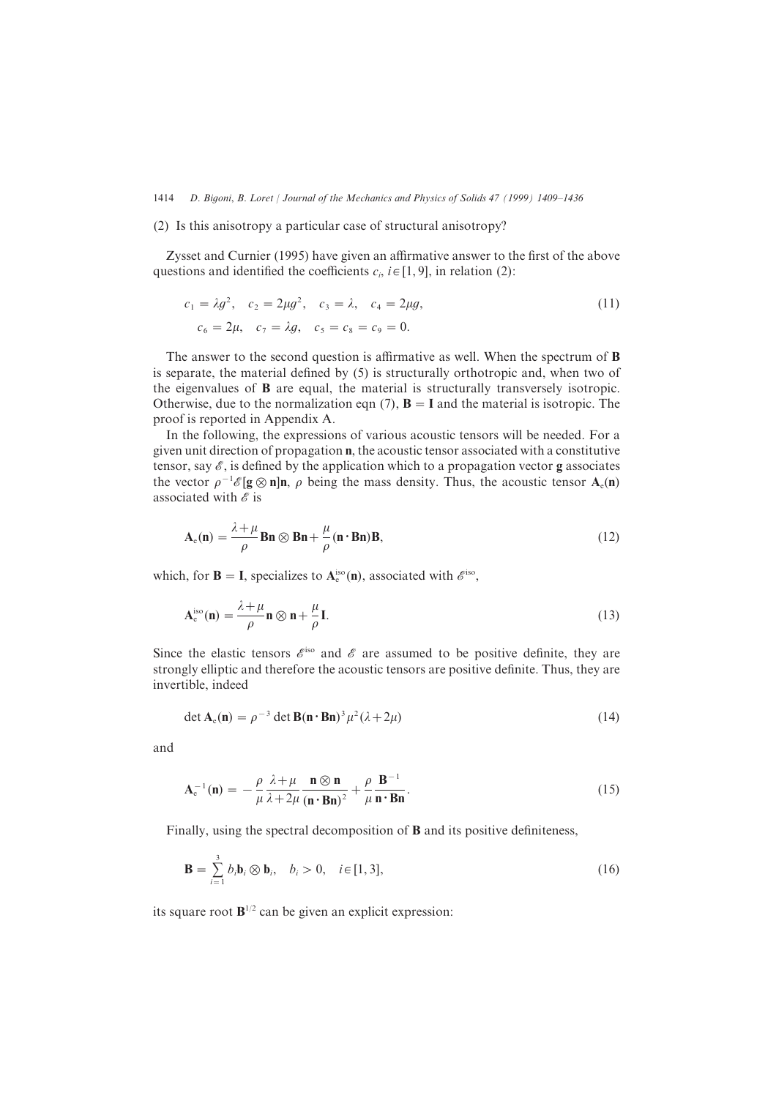$(2)$  Is this anisotropy a particular case of structural anisotropy?

Zysset and Curnier (1995) have given an affirmative answer to the first of the above questions and identified the coefficients  $c_i$ ,  $i \in [1, 9]$ , in relation (2):

$$
c_1 = \lambda g^2, \quad c_2 = 2\mu g^2, \quad c_3 = \lambda, \quad c_4 = 2\mu g,
$$
  
\n
$$
c_6 = 2\mu, \quad c_7 = \lambda g, \quad c_5 = c_8 = c_9 = 0.
$$
\n(11)

The answer to the second question is affirmative as well. When the spectrum of  $\bf{B}$ is separate, the material defined by  $(5)$  is structurally orthotropic and, when two of the eigenvalues of  $\bf{B}$  are equal, the material is structurally transversely isotropic. Otherwise, due to the normalization eqn (7),  $\mathbf{B} = \mathbf{I}$  and the material is isotropic. The proof is reported in Appendix A.

In the following, the expressions of various acoustic tensors will be needed. For a given unit direction of propagation  $n$ , the acoustic tensor associated with a constitutive tensor, say  $\mathscr E$ , is defined by the application which to a propagation vector **g** associates the vector  $\rho^{-1}\mathscr{E}[\mathbf{g}\otimes\mathbf{n}]\mathbf{n}$ ,  $\rho$  being the mass density. Thus, the acoustic tensor  $\mathbf{A}_e(\mathbf{n})$ associated with  $\mathscr E$  is

$$
\mathbf{A}_{e}(\mathbf{n}) = \frac{\lambda + \mu}{\rho} \mathbf{B} \mathbf{n} \otimes \mathbf{B} \mathbf{n} + \frac{\mu}{\rho} (\mathbf{n} \cdot \mathbf{B} \mathbf{n}) \mathbf{B},\tag{12}
$$

which, for **B** = **I**, specializes to  $A_e^{iso}(\mathbf{n})$ , associated with  $\mathcal{E}^{iso}$ ,

$$
\mathbf{A}_{e}^{\text{iso}}(\mathbf{n}) = \frac{\lambda + \mu}{\rho} \mathbf{n} \otimes \mathbf{n} + \frac{\mu}{\rho} \mathbf{I}.
$$
 (13)

Since the elastic tensors  $\mathscr{E}^{\text{iso}}$  and  $\mathscr{E}$  are assumed to be positive definite, they are strongly elliptic and therefore the acoustic tensors are positive definite. Thus, they are invertible, indeed

$$
\det \mathbf{A}_{e}(\mathbf{n}) = \rho^{-3} \det \mathbf{B}(\mathbf{n} \cdot \mathbf{B} \mathbf{n})^{3} \mu^{2} (\lambda + 2\mu)
$$
 (14)

and

$$
\mathbf{A}_{\mathrm{e}}^{-1}(\mathbf{n}) = -\frac{\rho}{\mu} \frac{\lambda + \mu}{\lambda + 2\mu} \frac{\mathbf{n} \otimes \mathbf{n}}{(\mathbf{n} \cdot \mathbf{B} \mathbf{n})^2} + \frac{\rho}{\mu} \frac{\mathbf{B}^{-1}}{\mathbf{n} \cdot \mathbf{B} \mathbf{n}}.
$$
 (15)

Finally, using the spectral decomposition of  $\bf{B}$  and its positive definiteness,

$$
\mathbf{B} = \sum_{i=1}^{3} b_i \mathbf{b}_i \otimes \mathbf{b}_i, \quad b_i > 0, \quad i \in [1, 3], \tag{16}
$$

its square root  $\mathbf{B}^{1/2}$  can be given an explicit expression: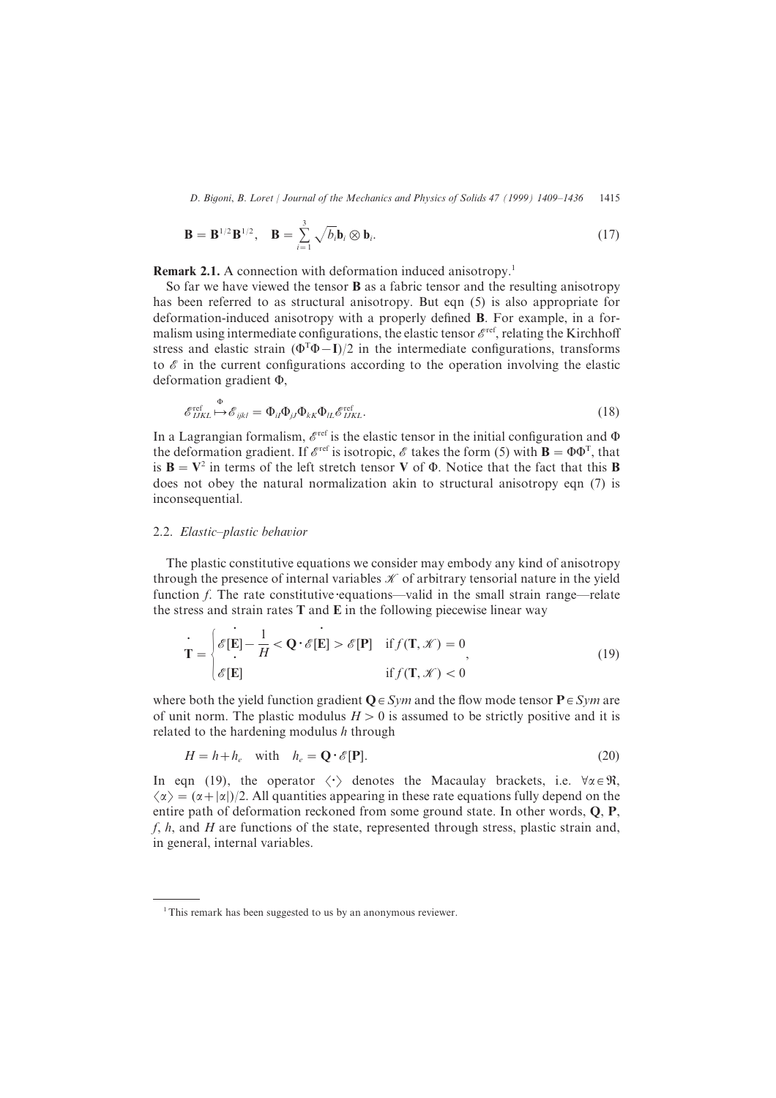$$
\mathbf{B} = \mathbf{B}^{1/2} \mathbf{B}^{1/2}, \quad \mathbf{B} = \sum_{i=1}^{3} \sqrt{b_i} \mathbf{b}_i \otimes \mathbf{b}_i.
$$
 (17)

**Remark 2.1.** A connection with deformation induced anisotropy.<sup>1</sup>

So far we have viewed the tensor B as a fabric tensor and the resulting anisotropy has been referred to as structural anisotropy. But eqn  $(5)$  is also appropriate for deformation-induced anisotropy with a properly defined  $\bf{B}$ . For example, in a formalism using intermediate configurations, the elastic tensor  $\mathscr{E}^{\text{ref}}$ , relating the Kirchhoff stress and elastic strain  $(\Phi^T \Phi - I)/2$  in the intermediate configurations, transforms to  $\mathscr E$  in the current configurations according to the operation involving the elastic deformation gradient  $\Phi$ .

$$
\mathcal{E}_{IJKL}^{\text{ref}} \mapsto \mathcal{E}_{ijkl} = \Phi_{il}\Phi_{jl}\Phi_{kK}\Phi_{IL}\mathcal{E}_{IJKL}^{\text{ref}}.
$$
\n(18)

In a Lagrangian formalism,  $\mathcal{E}^{\text{ref}}$  is the elastic tensor in the initial configuration and  $\Phi$ the deformation gradient. If  $e^{\text{ref}}$  is isotropic,  $e$  takes the form (5) with  $\mathbf{B} = \Phi \Phi^T$ , that is  $B=V^2$  in terms of the left stretch tensor V of  $\Phi$ . Notice that the fact that this B does not obey the natural normalization akin to structural anisotropy eqn  $(7)$  is inconsequential.

#### 2.2. Elastic-plastic behavior

 $\overline{\Phi}$ 

The plastic constitutive equations we consider may embody any kind of anisotropy through the presence of internal variables  $K$  of arbitrary tensorial nature in the yield function  $f$ . The rate constitutive equations—valid in the small strain range—relate the stress and strain rates  $T$  and  $E$  in the following piecewise linear way

$$
\mathbf{T} = \begin{cases} \mathcal{E}[\mathbf{E}] - \frac{1}{H} < \mathbf{Q} \cdot \mathcal{E}[\mathbf{E}] > \mathcal{E}[\mathbf{P}] & \text{if } f(\mathbf{T}, \mathcal{K}) = 0 \\ \mathcal{E}[\mathbf{E}] & \text{if } f(\mathbf{T}, \mathcal{K}) < 0 \end{cases} \tag{19}
$$

where both the yield function gradient  $\mathbf{Q} \in Sym$  and the flow mode tensor  $\mathbf{P} \in Sym$  are of unit norm. The plastic modulus  $H>0$  is assumed to be strictly positive and it is related to the hardening modulus h through

$$
H = h + h_e \quad \text{with} \quad h_e = \mathbf{Q} \cdot \mathscr{E}[\mathbf{P}]. \tag{20}
$$

In eqn (19), the operator  $\langle \cdot \rangle$  denotes the Macaulay brackets, i.e.  $\forall \alpha \in \mathcal{R}$ ,  $\langle \alpha \rangle = (\alpha + |\alpha|)/2$ . All quantities appearing in these rate equations fully depend on the entire path of deformation reckoned from some ground state. In other words,  $\mathbf{Q}, \mathbf{P},$ f, h, and H are functions of the state, represented through stress, plastic strain and, in general, internal variables.

 $1$ This remark has been suggested to us by an anonymous reviewer.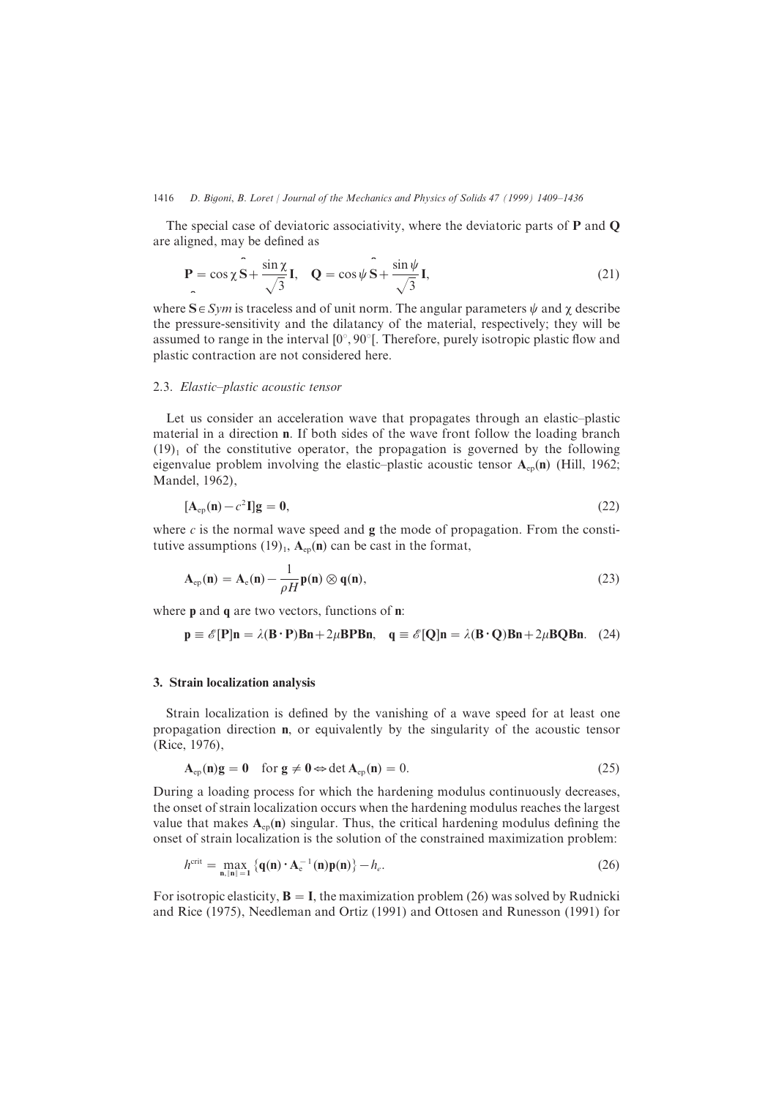The special case of deviatoric associativity, where the deviatoric parts of  $P$  and  $Q$ are aligned, may be defined as

$$
\mathbf{P} = \cos\chi \hat{\mathbf{S}} + \frac{\sin\chi}{\sqrt{3}} \mathbf{I}, \quad \mathbf{Q} = \cos\psi \hat{\mathbf{S}} + \frac{\sin\psi}{\sqrt{3}} \mathbf{I}, \tag{21}
$$

where  $S \in Sym$  is traceless and of unit norm. The angular parameters  $\psi$  and  $\chi$  describe the pressure-sensitivity and the dilatancy of the material, respectively; they will be assumed to range in the interval  $[0^{\circ}, 90^{\circ}]$ . Therefore, purely isotropic plastic flow and plastic contraction are not considered here.

#### 2.3. Elastic–plastic acoustic tensor

Let us consider an acceleration wave that propagates through an elastic–plastic material in a direction **n**. If both sides of the wave front follow the loading branch  $(19)$  of the constitutive operator, the propagation is governed by the following eigenvalue problem involving the elastic–plastic acoustic tensor  $A_{ep}(n)$  (Hill, 1962; Mandel, 1962),

$$
[\mathbf{A}_{ep}(\mathbf{n}) - c^2 \mathbf{I}] \mathbf{g} = \mathbf{0},\tag{22}
$$

where  $c$  is the normal wave speed and  $g$  the mode of propagation. From the constitutive assumptions  $(19)$ ,  $A_{ep}(n)$  can be cast in the format,

$$
\mathbf{A}_{ep}(\mathbf{n}) = \mathbf{A}_e(\mathbf{n}) - \frac{1}{\rho H} \mathbf{p}(\mathbf{n}) \otimes \mathbf{q}(\mathbf{n}),\tag{23}
$$

where  $\bf{p}$  and  $\bf{q}$  are two vectors, functions of  $\bf{n}$ :

$$
p \equiv \mathscr{E}[P]n = \lambda(B \cdot P)Bn + 2\mu BPBn, \quad q \equiv \mathscr{E}[Q]n = \lambda(B \cdot Q)Bn + 2\mu BQBn. \quad (24)
$$

#### 3. Strain localization analysis

Strain localization is defined by the vanishing of a wave speed for at least one propagation direction **n**, or equivalently by the singularity of the acoustic tensor  $(Rice, 1976),$ 

$$
\mathbf{A}_{ep}(\mathbf{n})\mathbf{g} = \mathbf{0} \quad \text{for } \mathbf{g} \neq \mathbf{0} \Leftrightarrow \det \mathbf{A}_{ep}(\mathbf{n}) = 0. \tag{25}
$$

During a loading process for which the hardening modulus continuously decreases, the onset of strain localization occurs when the hardening modulus reaches the largest value that makes  $A_{\text{en}}(n)$  singular. Thus, the critical hardening modulus defining the onset of strain localization is the solution of the constrained maximization problem]

$$
h^{\text{crit}} = \max_{\mathbf{n}, \|\mathbf{n}\|=1} \left\{ \mathbf{q}(\mathbf{n}) \cdot \mathbf{A}_{\text{e}}^{-1}(\mathbf{n}) \mathbf{p}(\mathbf{n}) \right\} - h_e.
$$
 (26)

For isotropic elasticity,  $\mathbf{B} = I$ , the maximization problem (26) was solved by Rudnicki and Rice (1975), Needleman and Ortiz (1991) and Ottosen and Runesson (1991) for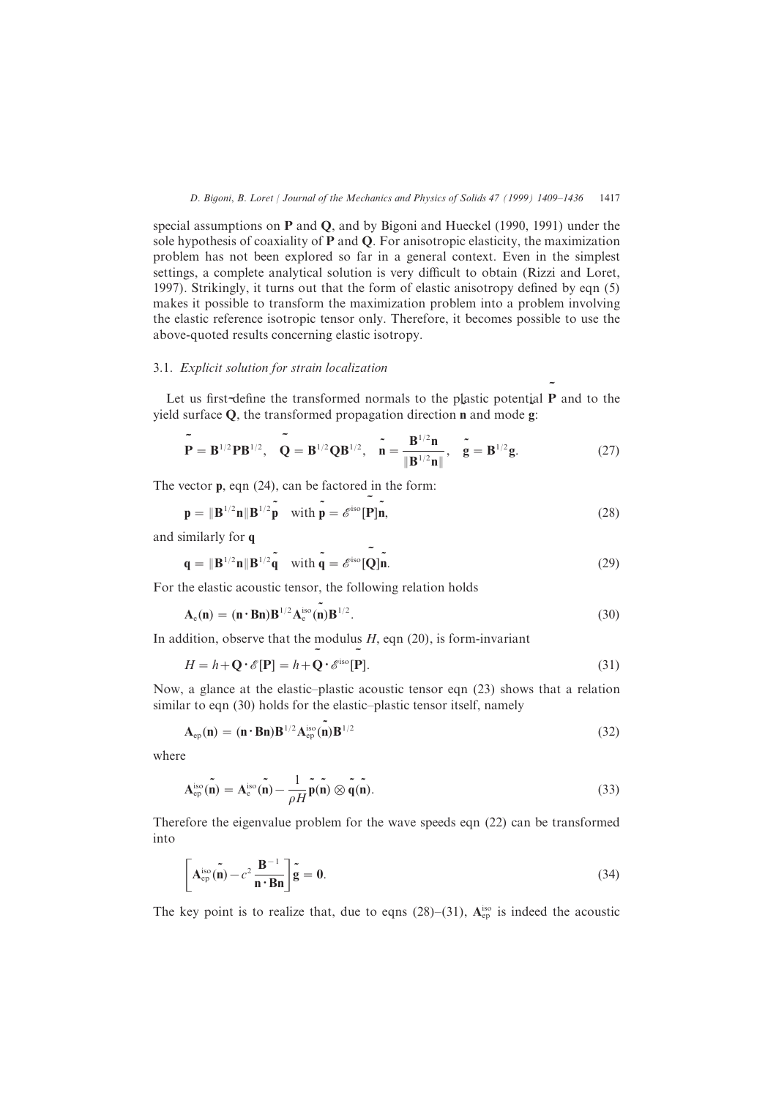special assumptions on  $P$  and  $Q$ , and by Bigoni and Hueckel (1990, 1991) under the sole hypothesis of coaxiality of  $P$  and  $Q$ . For anisotropic elasticity, the maximization problem has not been explored so far in a general context. Even in the simplest settings, a complete analytical solution is very difficult to obtain (Rizzi and Loret, 1997). Strikingly, it turns out that the form of elastic anisotropy defined by eqn  $(5)$ makes it possible to transform the maximization problem into a problem involving the elastic reference isotropic tensor only. Therefore, it becomes possible to use the above-quoted results concerning elastic isotropy.

#### 3.1. Explicit solution for strain localization

Let us first-define the transformed normals to the plastic potential  $\overline{P}$  and to the Let us instructive the transformed normals to the plastic potential<br>yield surface  $Q$ , the transformed propagation direction **n** and mode **g**:

$$
\mathbf{P} = \mathbf{B}^{1/2} \mathbf{P} \mathbf{B}^{1/2}, \quad \mathbf{Q} = \mathbf{B}^{1/2} \mathbf{Q} \mathbf{B}^{1/2}, \quad \tilde{\mathbf{n}} = \frac{\mathbf{B}^{1/2} \mathbf{n}}{\|\mathbf{B}^{1/2} \mathbf{n}\|}, \quad \tilde{\mathbf{g}} = \mathbf{B}^{1/2} \mathbf{g}.
$$
 (27)

The vector  $\mathbf{p}$ , eqn (24), can be factored in the form:

$$
\mathbf{p} = \|\mathbf{B}^{1/2}\mathbf{n}\|\mathbf{B}^{1/2}\mathbf{p} \quad \text{with } \mathbf{p} = \mathscr{E}^{\text{iso}}[\mathbf{P}]\mathbf{n},\tag{28}
$$

and similarly for q

$$
\mathbf{q} = \|\mathbf{B}^{1/2}\mathbf{n}\|\mathbf{B}^{1/2}\mathbf{\tilde{q}}\quad\text{with }\mathbf{\tilde{q}} = \mathcal{E}^{\text{iso}}[\mathbf{Q}]\mathbf{\tilde{n}}.
$$
\n(29)

For the elastic acoustic tensor, the following relation holds

$$
\mathbf{A}_{e}(\mathbf{n}) = (\mathbf{n} \cdot \mathbf{B} \mathbf{n}) \mathbf{B}^{1/2} \mathbf{A}_{e}^{\text{iso}}(\mathbf{n}) \mathbf{B}^{1/2}.
$$
 (30)

In addition, observe that the modulus  $H$ , eqn (20), is form-invariant

$$
H = h + \mathbf{Q} \cdot \mathcal{E}[\mathbf{P}] = h + \mathbf{Q} \cdot \mathcal{E}^{\text{iso}}[\mathbf{P}].
$$
\n(31)

Now, a glance at the elastic–plastic acoustic tensor eqn  $(23)$  shows that a relation similar to eqn (30) holds for the elastic-plastic tensor itself, namely

$$
\mathbf{A}_{\rm ep}(\mathbf{n}) = (\mathbf{n} \cdot \mathbf{B} \mathbf{n}) \mathbf{B}^{1/2} \mathbf{A}_{\rm ep}^{\rm iso}(\mathbf{n}) \mathbf{B}^{1/2} \tag{32}
$$

where

$$
\tilde{\mathbf{A}}_{ep}^{iso}(\mathbf{n}) = \tilde{\mathbf{A}}_e^{iso}(\mathbf{n}) - \frac{1}{\rho H} \tilde{\mathbf{p}}(\mathbf{n}) \otimes \tilde{\mathbf{q}}(\mathbf{n}).
$$
\n(33)

Therefore the eigenvalue problem for the wave speeds eqn  $(22)$  can be transformed into

$$
\left[\mathbf{A}_{\text{ep}}^{\text{iso}}(\mathbf{n}) - c^2 \frac{\mathbf{B}^{-1}}{\mathbf{n} \cdot \mathbf{B} \mathbf{n}}\right] \mathbf{\tilde{g}} = \mathbf{0}.\tag{34}
$$

The key point is to realize that, due to eqns  $(28)$ – $(31)$ ,  $A_{ep}^{iso}$  is indeed the acoustic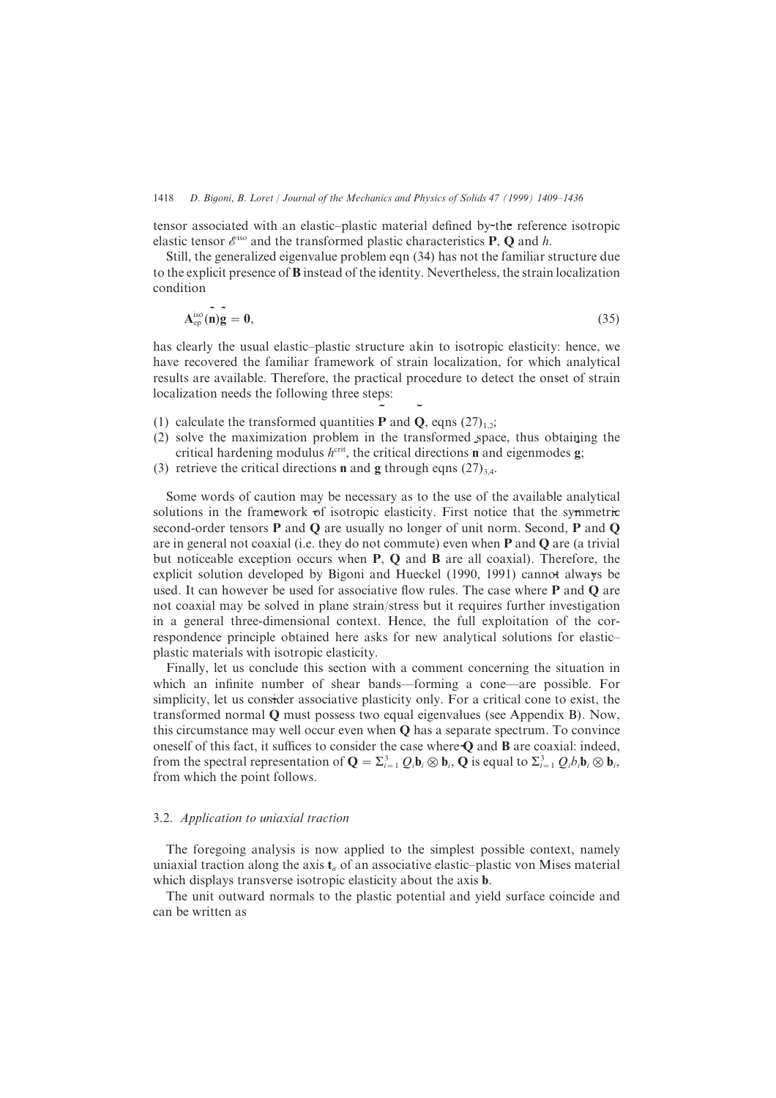tensor associated with an elastic–plastic material defined by the reference isotropic elastic tensor associated with an elastic-plastic inaterial defined by the reference elastic tensor  $\mathscr{E}^{\text{iso}}$  and the transformed plastic characteristics **P**, **Q** and *h*.

Still, the generalized eigenvalue problem eqn (34) has not the familiar structure due to the explicit presence of  $\bf{B}$  instead of the identity. Nevertheless, the strain localization condition

$$
\tilde{A}_{ep}^{iso}(\tilde{n})\tilde{g} = 0,\tag{35}
$$

has clearly the usual elastic–plastic structure akin to isotropic elasticity: hence, we have recovered the familiar framework of strain localization, for which analytical results are available. Therefore, the practical procedure to detect the onset of strain localization needs the following three steps:

- (1) calculate the transformed quantities **P** and **Q**, eqns  $(27)_{1,2}$ ;
- $(2)$  solve the maximization problem in the transformed space, thus obtaining the critical hardening modulus  $h^{\text{crit}}$ , the critical directions **n** and eigenmodes **g**;
- (3) retrieve the critical directions **n** and **g** through eqns  $(27)_{3,4}$ .

Some words of caution may be necessary as to the use of the available analytical solutions in the framework of isotropic elasticity. First notice that the symmetric solutions in the Hamework of isotropic elasticity. This houte that the symmetric second-order tensors  $P$  and  $Q$  are usually no longer of unit norm. Second,  $P$  and  $Q$ are in general not coaxial (i.e. they do not commute) even when  $P$  and  $Q$  are (a trivial but noticeable exception occurs when  $P$ ,  $Q$  and  $B$  are all coaxial). Therefore, the explicit solution developed by Bigoni and Hueckel  $(1990, 1991)$  cannot always be Explicit solution developed by Bigoni and Truecket  $(1990, 1991)$  cannot always be used. It can however be used for associative flow rules. The case where **P** and **Q** are not coaxial may be solved in plane strain/stress but it requires further investigation in a general three-dimensional context. Hence, the full exploitation of the correspondence principle obtained here asks for new analytical solutions for elastic plastic materials with isotropic elasticity.

Finally, let us conclude this section with a comment concerning the situation in which an infinite number of shear bands—forming a cone—are possible. For simplicity, let us consider associative plasticity only. For a critical cone to exist, the simplicity, let us consider associative plasticity only. For a critical colle to exist, the transformed normal  $Q$  must possess two equal eigenvalues (see Appendix B). Now, this circumstance may well occur even when  $\bf{Q}$  has a separate spectrum. To convince oneself of this fact, it suffices to consider the case where  $\bf{Q}$  and  $\bf{B}$  are coaxial: indeed, from the spectral representation of  $\mathbf{Q} = \sum_{i=1}^{3} Q_i \mathbf{b}_i \otimes \mathbf{b}_i$ ,  $\mathbf{Q}$  is equal to  $\sum_{i=1}^{3} Q_i \mathbf{b}_i \otimes \mathbf{b}_i$ , from which the point follows.

#### 3.2. Application to uniaxial traction

The foregoing analysis is now applied to the simplest possible context\ namely uniaxial traction along the axis  $t<sub>\sigma</sub>$  of an associative elastic–plastic von Mises material which displays transverse isotropic elasticity about the axis **b**.

The unit outward normals to the plastic potential and yield surface coincide and can be written as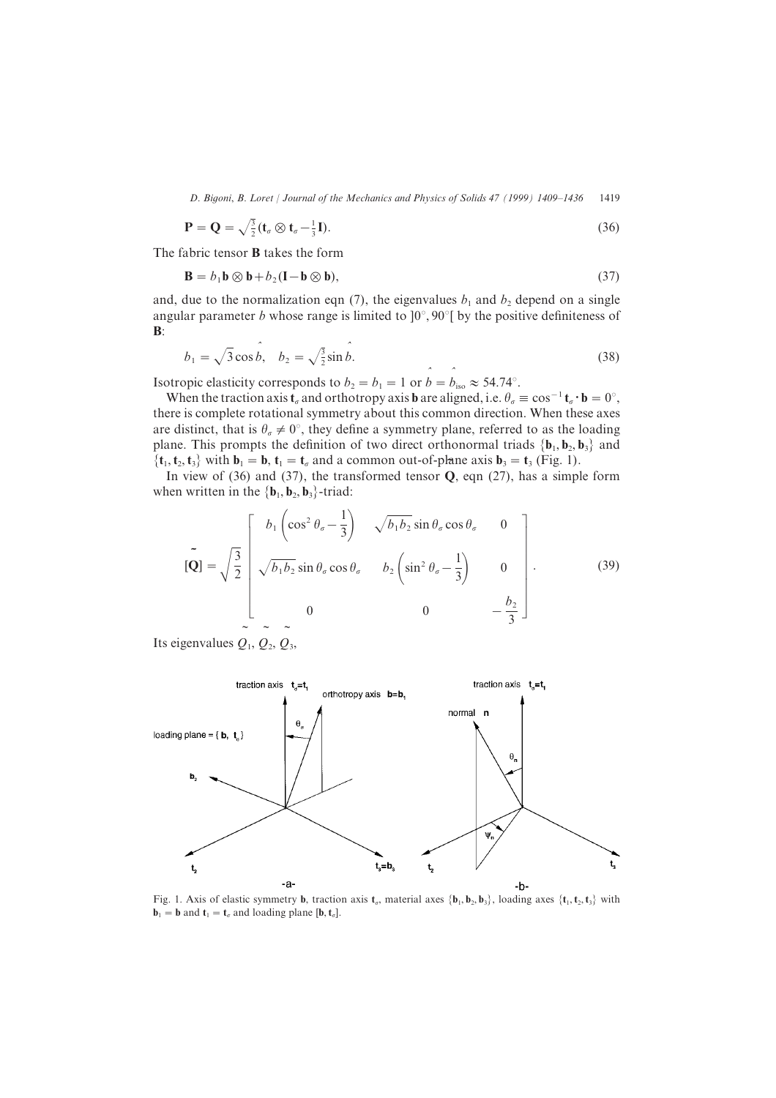$$
\mathbf{P} = \mathbf{Q} = \sqrt{\frac{3}{2}} (\mathbf{t}_\sigma \otimes \mathbf{t}_\sigma - \frac{1}{3} \mathbf{I}). \tag{36}
$$

The fabric tensor B takes the form

$$
\mathbf{B} = b_1 \mathbf{b} \otimes \mathbf{b} + b_2 (\mathbf{I} - \mathbf{b} \otimes \mathbf{b}),\tag{37}
$$

and, due to the normalization eqn (7), the eigenvalues  $b_1$  and  $b_2$  depend on a single angular parameter b whose range is limited to  $]0^{\circ}, 90^{\circ}$  by the positive definiteness of  $B$ :

$$
b_1 = \sqrt{3}\cos\hat{b}, \quad b_2 = \sqrt{\frac{3}{2}}\sin\hat{b}.
$$
 (38)

Isotropic elasticity corresponds to  $b_2 = b_1 = 1$  or  $\hat{b} = \hat{b}_{\text{iso}} \approx 54.74^{\circ}$ .

When the traction axis  $\mathbf{t}_\sigma$  and orthotropy axis **b** are aligned, i.e.  $\theta_\sigma \equiv \cos^{-1} \mathbf{t}_\sigma \cdot \mathbf{b} = 0^\circ$ , there is complete rotational symmetry about this common direction. When these axes are distinct, that is  $\theta_{\sigma} \neq 0^{\circ}$ , they define a symmetry plane, referred to as the loading plane. This prompts the definition of two direct orthonormal triads  $\{b_1, b_2, b_3\}$  and  $\{t_1, t_2, t_3\}$  with  $\mathbf{b}_1 = \mathbf{b}$ ,  $\mathbf{t}_1 = \mathbf{t}_\sigma$  and a common out-of-plane axis  $\mathbf{b}_3 = \mathbf{t}_3$  (Fig. 1).

In view of (36) and (37), the transformed tensor  $\bf Q$ , eqn (27), has a simple form when written in the  $\{b_1, b_2, b_3\}$ -triad:

$$
\tilde{[Q]} = \sqrt{\frac{3}{2}} \begin{bmatrix} b_1 \left( \cos^2 \theta_{\sigma} - \frac{1}{3} \right) & \sqrt{b_1 b_2} \sin \theta_{\sigma} \cos \theta_{\sigma} & 0 \\ \sqrt{b_1 b_2} \sin \theta_{\sigma} \cos \theta_{\sigma} & b_2 \left( \sin^2 \theta_{\sigma} - \frac{1}{3} \right) & 0 \\ 0 & 0 & -\frac{b_2}{3} \end{bmatrix} .
$$
 (39)

Its eigenvalues  $Q_1$ ,  $Q_2$ ,  $Q_3$ ,



Fig. 1. Axis of elastic symmetry **b**, traction axis  $t_{\sigma}$ , material axes  $\{b_1, b_2, b_3\}$ , loading axes  $\{t_1, t_2, t_3\}$  with  $\mathbf{b}_1 = \mathbf{b}$  and  $\mathbf{t}_1 = \mathbf{t}_q$  and loading plane  $[\mathbf{b}, \mathbf{t}_q]$ .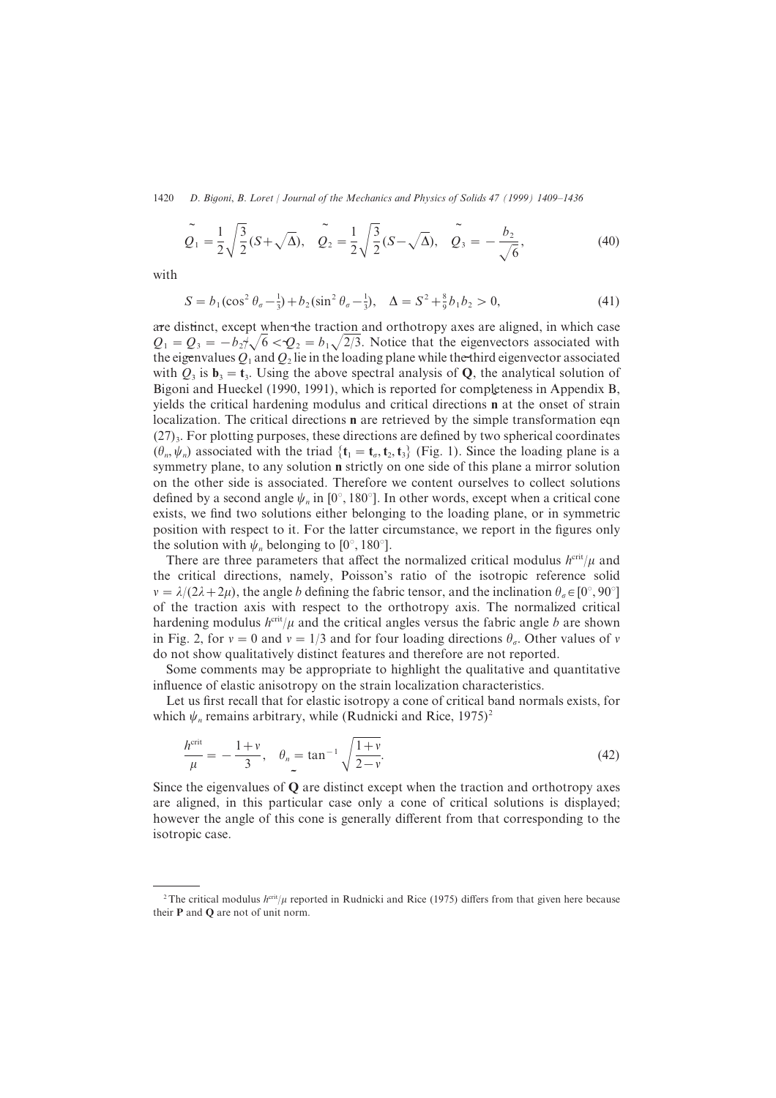$$
\tilde{Q}_1 = \frac{1}{2} \sqrt{\frac{3}{2}} (S + \sqrt{\Delta}), \quad \tilde{Q}_2 = \frac{1}{2} \sqrt{\frac{3}{2}} (S - \sqrt{\Delta}), \quad \tilde{Q}_3 = -\frac{b_2}{\sqrt{6}}, \tag{40}
$$

with

$$
S = b_1(\cos^2 \theta_{\sigma} - \frac{1}{3}) + b_2(\sin^2 \theta_{\sigma} - \frac{1}{3}), \quad \Delta = S^2 + \frac{8}{9}b_1b_2 > 0,
$$
 (41)

are distinct, except when the traction and orthotropy axes are aligned, in which case  $Q_1 = Q_3 = -b_2\sqrt[3]{6} < Q_2 = b_1\sqrt{2/3}$ . Notice that the eigenvectors associated with the eigenvalues  $Q_1$  and  $Q_2$  lie in the loading plane while the third eigenvector associated with  $Q_3$  is  $\mathbf{b}_3 = \mathbf{t}_3$ . Using the above spectral analysis of **Q**, the analytical solution of Bigoni and Hueckel  $(1990, 1991)$ , which is reported for completeness in Appendix B,  $y$ ields the critical hardening modulus and critical directions **n** at the onset of strain localization. The critical directions  $n$  are retrieved by the simple transformation eqn  $(27)$ <sub>3</sub>. For plotting purposes, these directions are defined by two spherical coordinates  $(\theta_n, \psi_n)$  associated with the triad  $\{t_1 = t_a, t_2, t_3\}$  (Fig. 1). Since the loading plane is a symmetry plane, to any solution **n** strictly on one side of this plane a mirror solution on the other side is associated. Therefore we content ourselves to collect solutions defined by a second angle  $\psi_n$  in  $[0^\circ, 180^\circ]$ . In other words, except when a critical cone exists, we find two solutions either belonging to the loading plane, or in symmetric position with respect to it. For the latter circumstance, we report in the figures only the solution with  $\psi$ , belonging to  $[0^\circ, 180^\circ]$ .

There are three parameters that affect the normalized critical modulus  $h^{\text{crit}}/\mu$  and the critical directions, namely, Poisson's ratio of the isotropic reference solid  $\frac{1}{2}$  (2)  $\frac{1}{2}$  and  $\frac{1}{2}$  (3)  $\frac{1}{2}$  (3)  $\frac{1}{2}$  $v = \lambda/(2\lambda + 2\mu)$ , the angle b defining the fabric tensor, and the inclination  $\theta_{\sigma} \in [0^{\circ}, 90^{\circ}]$ of the traction axis with respect to the orthotropy axis[ The normalized critical or the traction axis with respect to the orthology axis. The hormanized critical hardening modulus  $h^{\text{crit}}/\mu$  and the critical angles versus the fabric angle b are shown in Fig. 2, for  $v = 0$  and  $v = 1/3$  and for four loading directions  $\theta_{\sigma}$ . Other values of v do not show qualitatively distinct features and therefore are not reported.

Some comments may be appropriate to highlight the qualitative and quantitative influence of elastic anisotropy on the strain localization characteristics.

Let us first recall that for elastic isotropy a cone of critical band normals exists, for which  $\psi_n$  remains arbitrary, while (Rudnicki and Rice, 1975)<sup>2</sup>

$$
\frac{h^{\text{crit}}}{\mu} = -\frac{1+v}{3}, \quad \theta_n = \tan^{-1} \sqrt{\frac{1+v}{2-v}}.
$$
\n(42)

Since the eigenvalues of  $Q$  are distinct except when the traction and orthotropy axes are aligned, in this particular case only a cone of critical solutions is displayed; however the angle of this cone is generally different from that corresponding to the isotropic case.

<sup>&</sup>lt;sup>2</sup> The critical modulus  $h^{\text{crit}}/\mu$  reported in Rudnicki and Rice (1975) differs from that given here because their  $P$  and  $Q$  are not of unit norm.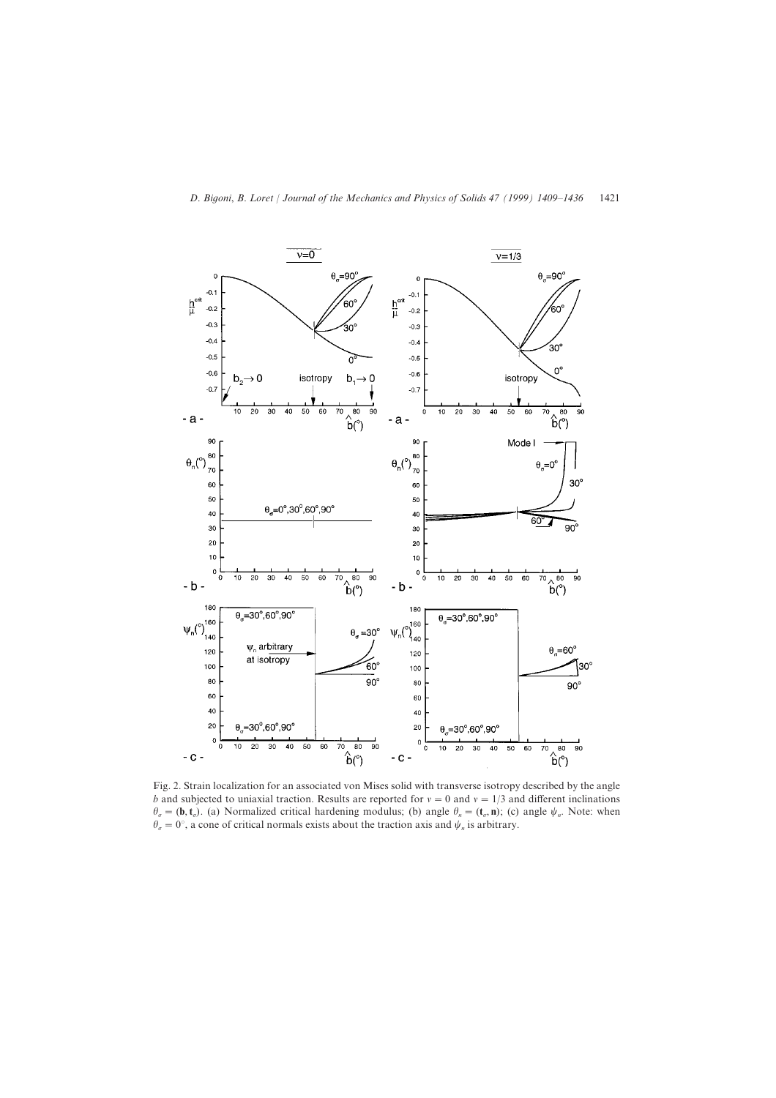

Fig. 2. Strain localization for an associated von Mises solid with transverse isotropy described by the angle b and subjected to uniaxial traction. Results are reported for  $v = 0$  and  $v = 1/3$  and different inclinations  $\theta_a = (\mathbf{b}, \mathbf{t}_a)$ . (a) Normalized critical hardening modulus; (b) angle  $\theta_n = (\mathbf{t}_a, \mathbf{n})$ ; (c) angle  $\psi_n$ . Note: when  $\theta_{\sigma} = 0^{\circ}$ , a cone of critical normals exists about the traction axis and  $\psi_n$  is arbitrary.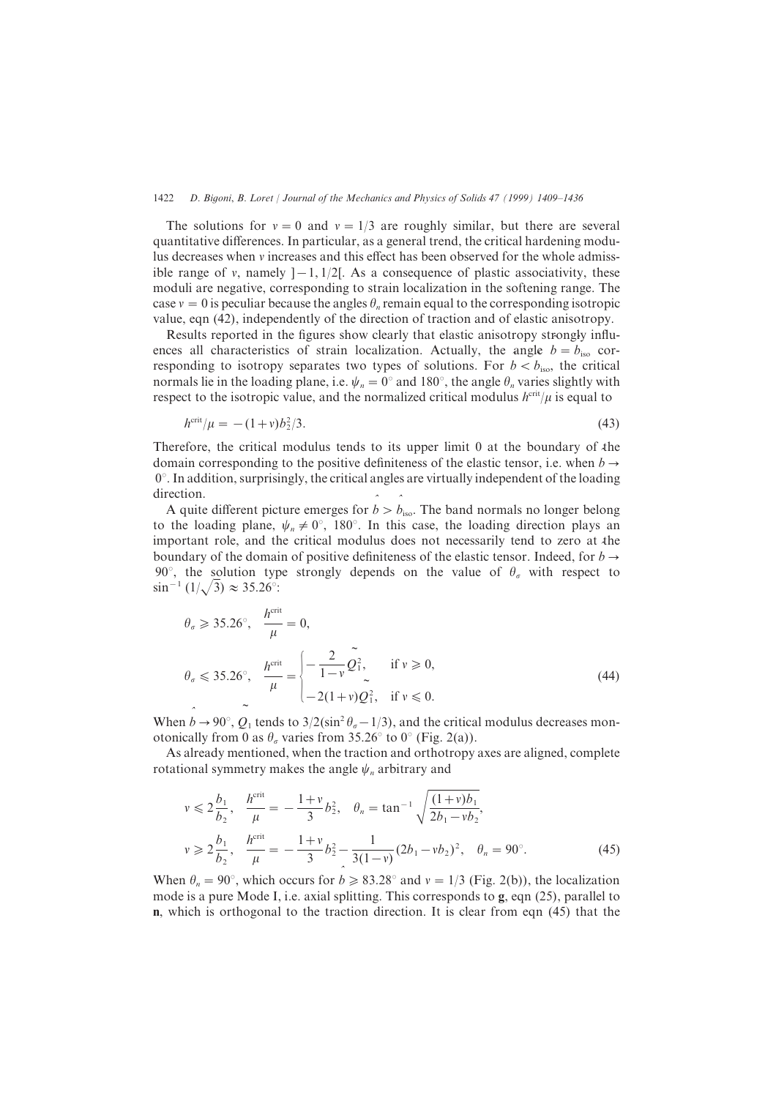The solutions for  $v=0$  and  $v=1/3$  are roughly similar, but there are several quantitative differences. In particular, as a general trend, the critical hardening modulus decreases when  $\nu$  increases and this effect has been observed for the whole admissible range of v, namely  $]-1,1/2[$ . As a consequence of plastic associativity, these moduli are negative, corresponding to strain localization in the softening range. The case  $v = 0$  is peculiar because the angles  $\theta_n$  remain equal to the corresponding isotropic value, eqn  $(42)$ , independently of the direction of traction and of elastic anisotropy.

Results reported in the figures show clearly that elastic anisotropy strongly influences all characteristics of strain localization. Actually, the angle  $b = b_{\text{iso}}$  corresponding to isotropy separates two types of solutions. For  $b < b_{\text{iso}}$ , the critical normals lie in the loading plane, i.e.  $\psi_n = 0^\circ$  and 180°, the angle  $\theta_n$  varies slightly with respect to the isotropic value, and the normalized critical modulus  $h^{\text{crit}}/\mu$  is equal to

$$
h^{\text{crit}}/\mu = -(1+v)b_2^2/3.
$$
\n(43)

Therefore, the critical modulus tends to its upper limit  $\theta$  at the boundary of the domain corresponding to the positive definiteness of the elastic tensor, i.e. when  $b \rightarrow$  $0^\circ$ . In addition, surprisingly, the critical angles are virtually independent of the loading direction.

A quite different picture emerges for  $\hat{b} > \hat{b}_{\text{iso}}$ . The band normals no longer belong to the loading plane,  $\psi_n \neq 0^\circ$ , 180°. In this case, the loading direction plays an important role, and the critical modulus does not necessarily tend to zero at the boundary of the domain of positive definiteness of the elastic tensor. Indeed, for  $b \rightarrow$ 90°, the solution type strongly depends on the value of  $\theta_{\sigma}$  with respect to  $\sin^{-1} (1/\sqrt{3}) \approx 35.26^{\circ}$ :

$$
\theta_{\sigma} \geqslant 35.26^{\circ}, \quad \frac{h^{\text{crit}}}{\mu} = 0,
$$
\n
$$
\theta_{\sigma} \leqslant 35.26^{\circ}, \quad \frac{h^{\text{crit}}}{\mu} = \begin{cases} -\frac{2}{1-\nu} \tilde{Q_1}, & \text{if } \nu \geqslant 0, \\ -\frac{2}{1-\nu} \tilde{Q_1}, & \text{if } \nu \leqslant 0. \end{cases} \tag{44}
$$

When  $\vec{b} \to 90^\circ$ ,  $Q_1$  tends to 3/2(sin<sup>2</sup>  $\theta_\sigma - 1/3$ ), and the critical modulus decreases monotonically from 0 as  $\theta_{\sigma}$  varies from 35.26° to 0° (Fig. 2(a)).

As already mentioned, when the traction and orthotropy axes are aligned, complete rotational symmetry makes the angle  $\psi_n$  arbitrary and

$$
v \leq 2 \frac{b_1}{b_2}, \quad \frac{h^{\text{crit}}}{\mu} = -\frac{1+v}{3} b_2^2, \quad \theta_n = \tan^{-1} \sqrt{\frac{(1+v)b_1}{2b_1 - v b_2}},
$$
  

$$
v \geq 2 \frac{b_1}{b_2}, \quad \frac{h^{\text{crit}}}{\mu} = -\frac{1+v}{3} b_2^2 - \frac{1}{3(1-v)} (2b_1 - v b_2)^2, \quad \theta_n = 90^\circ.
$$
 (45)

When  $\theta_n = 90^\circ$ , which occurs for  $b \ge 83.28^\circ$  and  $v = 1/3$  (Fig. 2(b)), the localization mode is a pure Mode I, i.e. axial splitting. This corresponds to  $g$ , eqn (25), parallel to  $\mathbf{n},$  which is orthogonal to the traction direction. It is clear from eqn (45) that the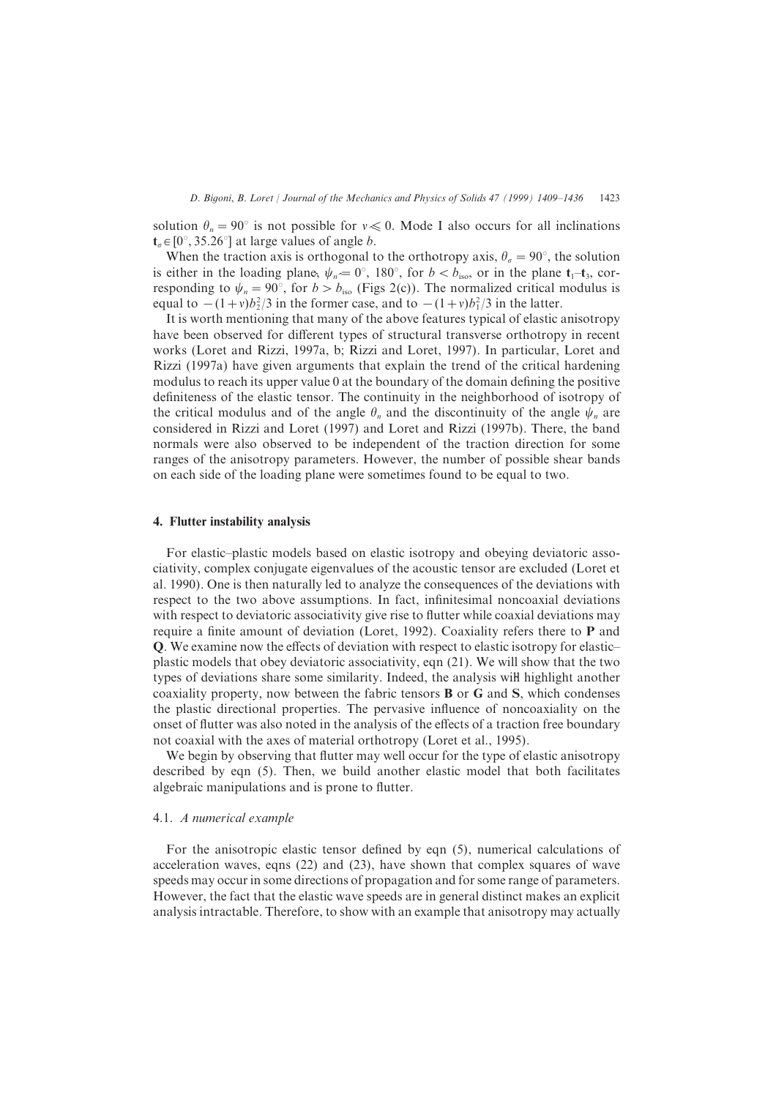solution  $\theta_n = 90^\circ$  is not possible for  $v \le 0$ . Mode I also occurs for all inclinations  $t_{\sigma} \in [0^{\circ}, 35.26^{\circ}]$  at large values of angle *b*.

When the traction axis is orthogonal to the orthotropy axis,  $\theta_{\sigma} = 90^{\circ}$ , the solution is either in the loading plane,  $\psi_n = 0^\circ$ , 180°, for  $b < b_{\text{iso}}$ , or in the plane  $t_1-t_3$ , corresponding to  $\psi_n = 90^\circ$ , for  $b > b_{\text{iso}}$  (Figs 2(c)). The normalized critical modulus is equal to  $-(1+v)b_2^2/3$  in the former case, and to  $-(1+v)b_1^2/3$  in the latter.

It is worth mentioning that many of the above features typical of elastic anisotropy have been observed for different types of structural transverse orthotropy in recent works (Loret and Rizzi, 1997a, b; Rizzi and Loret, 1997). In particular, Loret and Rizzi (1997a) have given arguments that explain the trend of the critical hardening modulus to reach its upper value  $\theta$  at the boundary of the domain defining the positive definiteness of the elastic tensor. The continuity in the neighborhood of isotropy of the critical modulus and of the angle  $\theta_n$  and the discontinuity of the angle  $\psi_n$  are considered in Rizzi and Loret  $(1997)$  and Loret and Rizzi  $(1997b)$ . There, the band normals were also observed to be independent of the traction direction for some ranges of the anisotropy parameters. However, the number of possible shear bands on each side of the loading plane were sometimes found to be equal to two.

#### 4. Flutter instability analysis

For elastic–plastic models based on elastic isotropy and obeying deviatoric associativity, complex conjugate eigenvalues of the acoustic tensor are excluded (Loret et al. 1990). One is then naturally led to analyze the consequences of the deviations with respect to the two above assumptions. In fact, infinitesimal noncoaxial deviations with respect to deviatoric associativity give rise to flutter while coaxial deviations may require a finite amount of deviation (Loret, 1992). Coaxiality refers there to  $P$  and Q. We examine now the effects of deviation with respect to elastic isotropy for elasticplastic models that obey deviatoric associativity, eqn  $(21)$ . We will show that the two types of deviations share some similarity. Indeed, the analysis will highlight another coaxiality property, now between the fabric tensors **B** or **G** and **S**, which condenses the plastic directional properties. The pervasive influence of noncoaxiality on the onset of flutter was also noted in the analysis of the effects of a traction free boundary not coaxial with the axes of material orthotropy (Loret et al., 1995).

We begin by observing that flutter may well occur for the type of elastic anisotropy described by eqn  $(5)$ . Then, we build another elastic model that both facilitates algebraic manipulations and is prone to flutter.

#### 4.1. A numerical example

For the anisotropic elastic tensor defined by eqn  $(5)$ , numerical calculations of acceleration waves, eqns  $(22)$  and  $(23)$ , have shown that complex squares of wave speeds may occur in some directions of propagation and for some range of parameters. However, the fact that the elastic wave speeds are in general distinct makes an explicit analysis intractable. Therefore, to show with an example that anisotropy may actually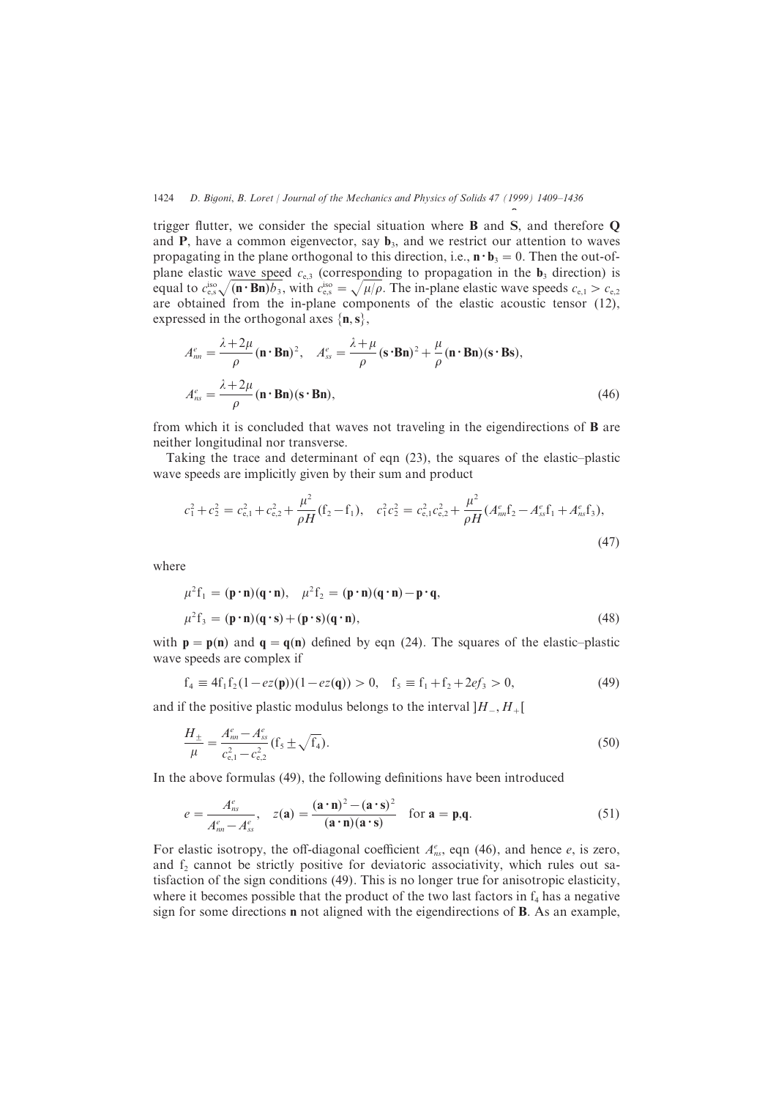trigger flutter, we consider the special situation where **B** and **S**, and therefore **Q** and P, have a common eigenvector, say  $\mathbf{b}_3$ , and we restrict our attention to waves propagating in the plane orthogonal to this direction, i.e.,  $\mathbf{n} \cdot \mathbf{b}_3 = 0$ . Then the out-ofplane elastic wave speed  $c_{e,3}$  (corresponding to propagation in the  $\mathbf{b}_3$  direction) is equal to  $c_{\rm e,s}^{\rm iso}\sqrt{(n\cdot Bn)\overline{b}_3}$ , with  $c_{\rm e,s}^{\rm iso}=\sqrt{\mu/\rho}$ . The in-plane elastic wave speeds  $c_{\rm e,1} > c_{\rm e,2}$ are obtained from the in-plane components of the elastic acoustic tensor  $(12)$ , expressed in the orthogonal axes  $\{n, s\}$ ,

$$
A_{nn}^{e} = \frac{\lambda + 2\mu}{\rho} (\mathbf{n} \cdot \mathbf{B} \mathbf{n})^{2}, \quad A_{ss}^{e} = \frac{\lambda + \mu}{\rho} (\mathbf{s} \cdot \mathbf{B} \mathbf{n})^{2} + \frac{\mu}{\rho} (\mathbf{n} \cdot \mathbf{B} \mathbf{n}) (\mathbf{s} \cdot \mathbf{B} \mathbf{s}),
$$
  

$$
A_{ns}^{e} = \frac{\lambda + 2\mu}{\rho} (\mathbf{n} \cdot \mathbf{B} \mathbf{n}) (\mathbf{s} \cdot \mathbf{B} \mathbf{n}),
$$
 (46)

from which it is concluded that waves not traveling in the eigendirections of B are neither longitudinal nor transverse.

Taking the trace and determinant of eqn  $(23)$ , the squares of the elastic–plastic wave speeds are implicitly given by their sum and product

$$
c_1^2 + c_2^2 = c_{e,1}^2 + c_{e,2}^2 + \frac{\mu^2}{\rho H}(f_2 - f_1), \quad c_1^2 c_2^2 = c_{e,1}^2 c_{e,2}^2 + \frac{\mu^2}{\rho H}(A_{nn}^e f_2 - A_{ss}^e f_1 + A_{ns}^e f_3),
$$
\n(47)

where

$$
\mu^{2}f_{1} = (\mathbf{p} \cdot \mathbf{n})(\mathbf{q} \cdot \mathbf{n}), \quad \mu^{2}f_{2} = (\mathbf{p} \cdot \mathbf{n})(\mathbf{q} \cdot \mathbf{n}) - \mathbf{p} \cdot \mathbf{q},
$$
  

$$
\mu^{2}f_{3} = (\mathbf{p} \cdot \mathbf{n})(\mathbf{q} \cdot \mathbf{s}) + (\mathbf{p} \cdot \mathbf{s})(\mathbf{q} \cdot \mathbf{n}),
$$
\n(48)

with  $p = p(n)$  and  $q = q(n)$  defined by eqn (24). The squares of the elastic–plastic wave speeds are complex if

$$
f_4 = 4f_1f_2(1 - ez(\mathbf{p}))(1 - ez(\mathbf{q})) > 0, \quad f_5 = f_1 + f_2 + 2ef_3 > 0,
$$
\n(49)

and if the positive plastic modulus belongs to the interval  $H_-, H_$ [

$$
\frac{H_{\pm}}{\mu} = \frac{A_{nn}^e - A_{ss}^e}{c_{e,1}^2 - c_{e,2}^2} (\mathbf{f}_5 \pm \sqrt{\mathbf{f}_4}).
$$
\n(50)

In the above formulas  $(49)$ , the following definitions have been introduced

$$
e = \frac{A_{ns}^e}{A_{nn}^e - A_{ss}^e}, \quad z(\mathbf{a}) = \frac{(\mathbf{a} \cdot \mathbf{n})^2 - (\mathbf{a} \cdot \mathbf{s})^2}{(\mathbf{a} \cdot \mathbf{n})(\mathbf{a} \cdot \mathbf{s})} \quad \text{for } \mathbf{a} = \mathbf{p}, \mathbf{q}. \tag{51}
$$

For elastic isotropy, the off-diagonal coefficient  $A_{ns}^e$ , eqn (46), and hence e, is zero, and  $f<sub>2</sub>$  cannot be strictly positive for deviatoric associativity, which rules out satisfaction of the sign conditions  $(49)$ . This is no longer true for anisotropic elasticity, where it becomes possible that the product of the two last factors in  $f_4$  has a negative sign for some directions  $\bf{n}$  not aligned with the eigendirections of  $\bf{B}$ . As an example,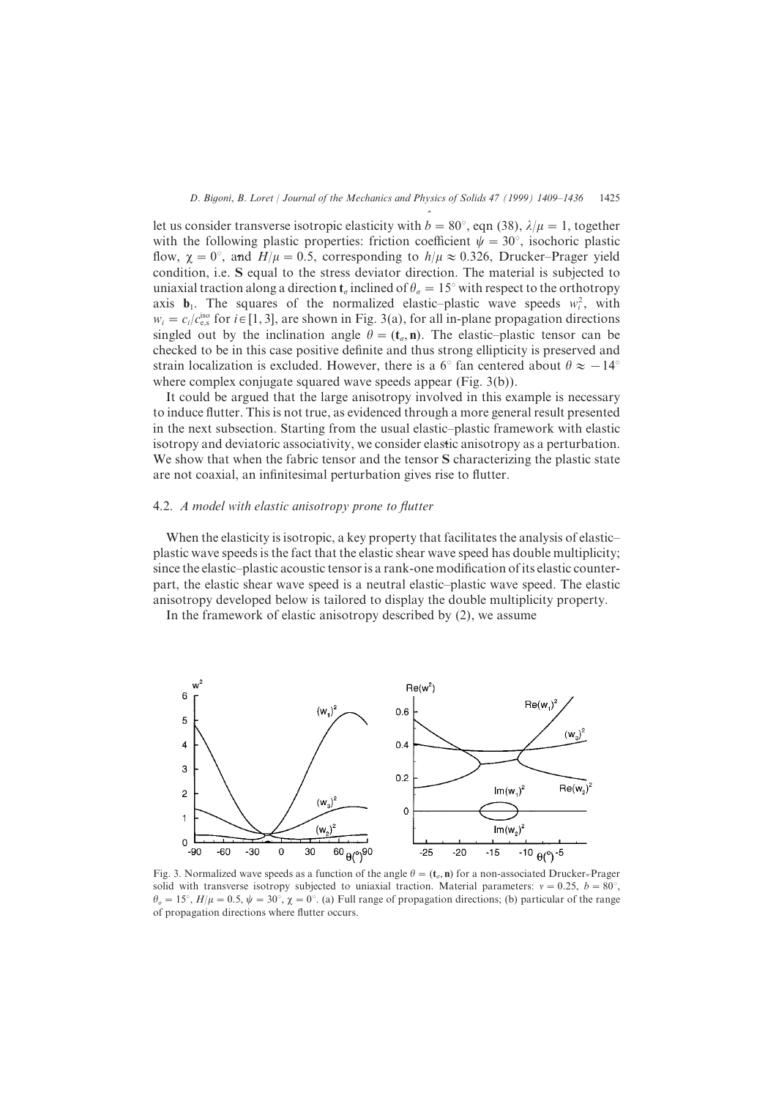let us consider transverse isotropic elasticity with  $\hat{b} = 80^\circ$ , eqn (38),  $\lambda/\mu = 1$ , together with the following plastic properties: friction coefficient  $\psi = 30^\circ$ , isochoric plastic flow,  $\chi = 0^\circ$ , and  $H/\mu = 0.5$ , corresponding to  $h/\mu \approx 0.326$ , Drucker–Prager yield condition, i.e. S equal to the stress deviator direction. The material is subjected to uniaxial traction along a direction  $t_{\sigma}$  inclined of  $\theta_{\sigma} = 15^{\circ}$  with respect to the orthotropy axis  $\mathbf{b}_1$ . The squares of the normalized elastic–plastic wave speeds  $w_i^2$ , with  $w_i = c_i/c_{e,s}^{iso}$  for  $i \in [1, 3]$ , are shown in Fig. 3(a), for all in-plane propagation directions singled out by the inclination angle  $\theta = (t_{\sigma}, \mathbf{n})$ . The elastic–plastic tensor can be checked to be in this case positive definite and thus strong ellipticity is preserved and strain localization is excluded. However, there is a 6 $\degree$  fan centered about  $\theta \approx -14\degree$ where complex conjugate squared wave speeds appear (Fig.  $3(b)$ ).

It could be argued that the large anisotropy involved in this example is necessary to induce flutter. This is not true, as evidenced through a more general result presented in the next subsection. Starting from the usual elastic–plastic framework with elastic isotropy and deviatoric associativity, we consider elastic anisotropy as a perturbation. We show that when the fabric tensor and the tensor S characterizing the plastic state are not coaxial, an infinitesimal perturbation gives rise to flutter.

# 4.2. A model with elastic anisotropy prone to flutter

When the elasticity is isotropic, a key property that facilitates the analysis of elastic– plastic wave speeds is the fact that the elastic shear wave speed has double multiplicity^ since the elastic–plastic acoustic tensor is a rank-one modification of its elastic counterpart, the elastic shear wave speed is a neutral elastic–plastic wave speed. The elastic anisotropy developed below is tailored to display the double multiplicity property.

In the framework of elastic anisotropy described by  $(2)$ , we assume



Fig. 3. Normalized wave speeds as a function of the angle  $\theta = (\mathbf{t}_\sigma, \mathbf{n})$  for a non-associated Drucker–Prager solid with transverse isotropy subjected to uniaxial traction. Material parameters:  $v = 0.25$ ,  $b = 80^{\circ}$ ,  $\theta_{\sigma} = 15^{\circ}$ ,  $H/\mu = 0.5$ ,  $\psi = 30^{\circ}$ ,  $\chi = 0^{\circ}$ . (a) Full range of propagation directions; (b) particular of the range of propagation directions where flutter occurs.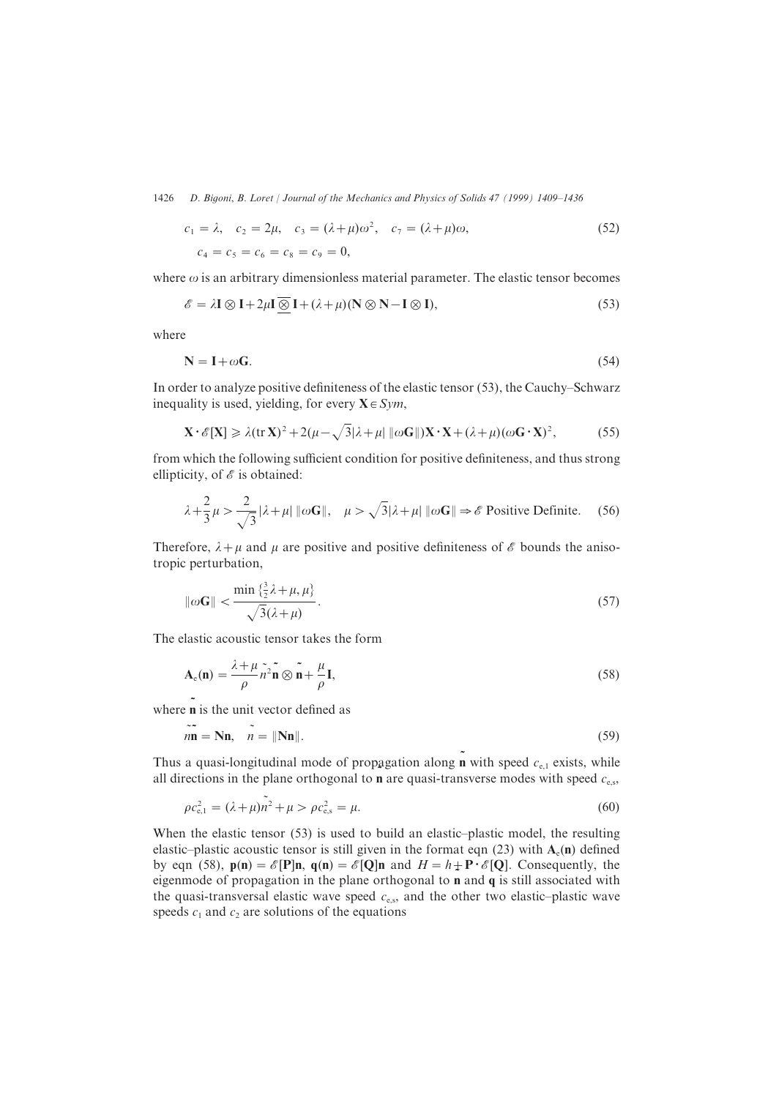$$
c_1 = \lambda, \quad c_2 = 2\mu, \quad c_3 = (\lambda + \mu)\omega^2, \quad c_7 = (\lambda + \mu)\omega,
$$
  

$$
c_4 = c_5 = c_6 = c_8 = c_9 = 0,
$$
 (52)

where  $\omega$  is an arbitrary dimensionless material parameter. The elastic tensor becomes

$$
\mathscr{E} = \lambda \mathbf{I} \otimes \mathbf{I} + 2\mu \mathbf{I} \underline{\otimes} \mathbf{I} + (\lambda + \mu)(\mathbf{N} \otimes \mathbf{N} - \mathbf{I} \otimes \mathbf{I}),\tag{53}
$$

where

$$
N = I + \omega G. \tag{54}
$$

In order to analyze positive definiteness of the elastic tensor  $(53)$ , the Cauchy–Schwarz inequality is used, yielding, for every  $X \in Sym$ ,

$$
\mathbf{X} \cdot \mathscr{E}[\mathbf{X}] \ge \lambda (\text{tr }\mathbf{X})^2 + 2(\mu - \sqrt{3}|\lambda + \mu| \|\omega \mathbf{G}\|) \mathbf{X} \cdot \mathbf{X} + (\lambda + \mu)(\omega \mathbf{G} \cdot \mathbf{X})^2,\tag{55}
$$

from which the following sufficient condition for positive definiteness, and thus strong ellipticity, of  $\mathscr E$  is obtained:

$$
\lambda + \frac{2}{3}\mu > \frac{2}{\sqrt{3}} |\lambda + \mu| \|\omega \mathbf{G}\|, \quad \mu > \sqrt{3} |\lambda + \mu| \|\omega \mathbf{G}\| \Rightarrow \mathcal{E} \text{ Positive Definite.}
$$
 (56)

Therefore,  $\lambda + \mu$  and  $\mu$  are positive and positive definiteness of  $\mathscr E$  bounds the anisotropic perturbation\

$$
\|\omega \mathbf{G}\| < \frac{\min\left\{\frac{3}{2}\lambda + \mu, \mu\right\}}{\sqrt{3(\lambda + \mu)}}.\tag{57}
$$

The elastic acoustic tensor takes the form

$$
\mathbf{A}_{e}(\mathbf{n}) = \frac{\lambda + \mu}{\rho} \tilde{n}^{2} \tilde{\mathbf{n}} \otimes \tilde{\mathbf{n}} + \frac{\mu}{\rho} \mathbf{I},
$$
\n(58)

where  $\mathbf{\tilde{n}}$  is the unit vector defined as

 $\sim\sim$ 

$$
\widetilde{n} = \mathbf{N}\mathbf{n}, \quad \widetilde{n} = \|\mathbf{N}\mathbf{n}\|.\tag{59}
$$

Thus a quasi-longitudinal mode of propagation along  $\mathbf{\tilde{n}}$  with speed  $c_{e,1}$  exists, while Thus a quasi rengived that mode or propagation along a with speed  $c_{e,s}$ , while all directions in the plane orthogonal to **n** are quasi-transverse modes with speed  $c_{e,s}$ ,

$$
\rho c_{e,1}^2 = (\lambda + \mu)\tilde{n}^2 + \mu > \rho c_{e,s}^2 = \mu.
$$
\n(60)

When the elastic tensor  $(53)$  is used to build an elastic–plastic model, the resulting elastic–plastic acoustic tensor is still given in the format eqn (23) with  $A<sub>e</sub>(n)$  defined by eqn (58),  $p(n) = \mathcal{E}[P]n$ ,  $q(n) = \mathcal{E}[Q]n$  and  $H = h + P \cdot \mathcal{E}[Q]$ . Consequently, the eigenmode of propagation in the plane orthogonal to **n** and **q** is still associated with the quasi-transversal elastic wave speed  $c_{\text{es}}$ , and the other two elastic–plastic wave speeds  $c_1$  and  $c_2$  are solutions of the equations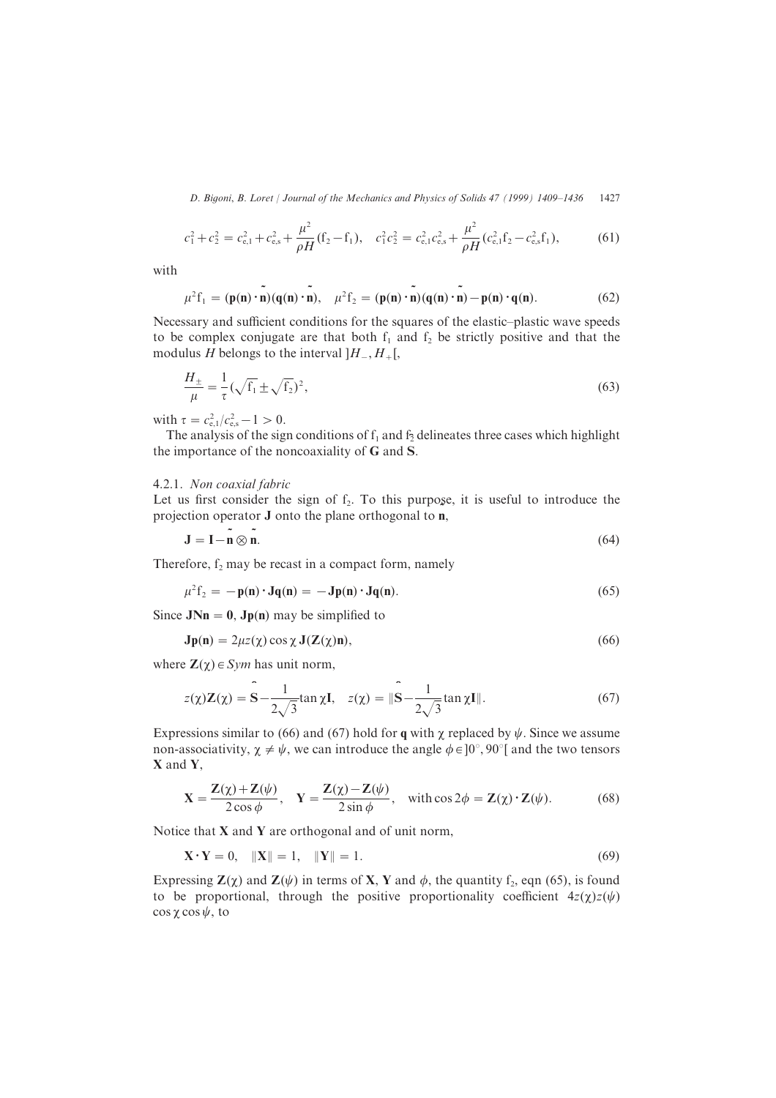$$
c_1^2 + c_2^2 = c_{e,1}^2 + c_{e,s}^2 + \frac{\mu^2}{\rho H} (f_2 - f_1), \quad c_1^2 c_2^2 = c_{e,1}^2 c_{e,s}^2 + \frac{\mu^2}{\rho H} (c_{e,1}^2 f_2 - c_{e,s}^2 f_1), \tag{61}
$$

with

$$
\mu^2 f_1 = (\mathbf{p(n)} \cdot \mathbf{n})(\mathbf{q(n)} \cdot \mathbf{n}), \quad \mu^2 f_2 = (\mathbf{p(n)} \cdot \mathbf{n})(\mathbf{q(n)} \cdot \mathbf{n}) - \mathbf{p(n)} \cdot \mathbf{q(n)}.
$$
 (62)

Necessary and sufficient conditions for the squares of the elastic–plastic wave speeds to be complex conjugate are that both  $f_1$  and  $f_2$  be strictly positive and that the modulus H belongs to the interval  $|H_-, H_+|$ ,

$$
\frac{H_{\pm}}{\mu} = \frac{1}{\tau} \left( \sqrt{\mathbf{f}_1} \pm \sqrt{\mathbf{f}_2} \right)^2, \tag{63}
$$

with  $\tau = c_{e,1}^2/c_{e,s}^2 - 1 > 0$ .

The analysis of the sign conditions of  $f_1$  and  $f_2$  delineates three cases which highlight the importance of the noncoaxiality of  **and**  $**S**$ **.** 

# 4.2.1. Non coaxial fabric

Let us first consider the sign of  $f_2$ . To this purpose, it is useful to introduce the projection operator **J** onto the plane orthogonal to  $\bf{n}$ ,

$$
\mathbf{J} = \mathbf{I} - \mathbf{n} \otimes \mathbf{n}.\tag{64}
$$

Therefore,  $f_2$  may be recast in a compact form, namely

$$
\mu^2 f_2 = -\mathbf{p}(\mathbf{n}) \cdot \mathbf{J} \mathbf{q}(\mathbf{n}) = -\mathbf{J} \mathbf{p}(\mathbf{n}) \cdot \mathbf{J} \mathbf{q}(\mathbf{n}). \tag{65}
$$

Since  $JNn = 0$ ,  $Jp(n)$  may be simplified to

$$
\mathbf{Jp(n)} = 2\mu z(\chi)\cos\chi\,\mathbf{J}(\mathbf{Z}(\chi)n),\tag{66}
$$

where  $\mathbf{Z}(\gamma) \in Sym$  has unit norm,

$$
z(\chi)\mathbf{Z}(\chi) = \mathbf{S} - \frac{1}{2\sqrt{3}}\tan\chi\mathbf{I}, \quad z(\chi) = \|\mathbf{S} - \frac{1}{2\sqrt{3}}\tan\chi\mathbf{I}\|.
$$
 (67)

Expressions similar to (66) and (67) hold for q with  $\chi$  replaced by  $\psi$ . Since we assume non-associativity,  $\chi \neq \psi$ , we can introduce the angle  $\phi \in ]0^\circ, 90^\circ[$  and the two tensors  $X$  and  $Y$ .

$$
\mathbf{X} = \frac{\mathbf{Z}(\chi) + \mathbf{Z}(\psi)}{2\cos\phi}, \quad \mathbf{Y} = \frac{\mathbf{Z}(\chi) - \mathbf{Z}(\psi)}{2\sin\phi}, \quad \text{with } \cos 2\phi = \mathbf{Z}(\chi) \cdot \mathbf{Z}(\psi). \tag{68}
$$

Notice that  $X$  and  $Y$  are orthogonal and of unit norm,

$$
\mathbf{X} \cdot \mathbf{Y} = 0, \quad \|\mathbf{X}\| = 1, \quad \|\mathbf{Y}\| = 1.
$$
 (69)

Expressing  $\mathbf{Z}(\gamma)$  and  $\mathbf{Z}(\psi)$  in terms of **X**, **Y** and  $\phi$ , the quantity f<sub>2</sub>, eqn (65), is found to be proportional, through the positive proportionality coefficient  $4z(\chi)z(\psi)$  $\cos \chi \cos \psi$ , to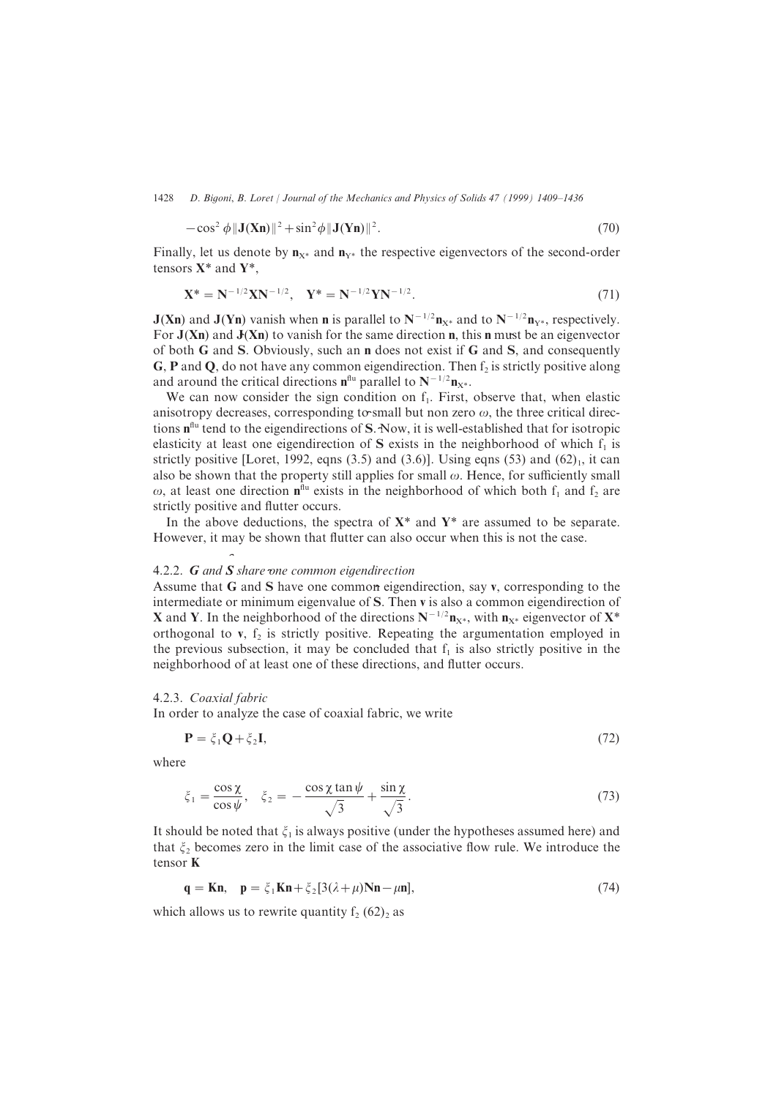$$
-\cos^2\phi \|\mathbf{J}(\mathbf{X}\mathbf{n})\|^2 + \sin^2\phi \|\mathbf{J}(\mathbf{Y}\mathbf{n})\|^2. \tag{70}
$$

Finally, let us denote by  $n_{X*}$  and  $n_{Y*}$  the respective eigenvectors of the second-order tensors  $X^*$  and  $Y^*$ ,

$$
X^* = N^{-1/2} X N^{-1/2}, \quad Y^* = N^{-1/2} Y N^{-1/2}.
$$
\n(71)

 $J(Xn)$  and  $J(Yn)$  vanish when n is parallel to  $N^{-1/2}n_{X*}$  and to  $N^{-1/2}n_{Y*}$ , respectively. For  $J(Xn)$  and  $J(Xn)$  to vanish for the same direction n, this n must be an eigenvector of both  $G$  and  $S$ . Obviously, such an **n** does not exist if  $G$  and  $S$ , and consequently **G**, **P** and **O**, do not have any common eigendirection. Then  $f<sub>2</sub>$  is strictly positive along and around the critical directions  $n^{flu}$  parallel to  $N^{-1/2}n_{X^*}$ .

We can now consider the sign condition on  $f_1$ . First, observe that, when elastic anisotropy decreases, corresponding to small but non zero  $\omega$ , the three critical directions  $\mathbf{n}^{\text{flu}}$  tend to the eigendirections of S. Now, it is well-established that for isotropic elasticity at least one eigendirection of  $S$  exists in the neighborhood of which  $f_1$  is strictly positive [Loret, 1992, eqns  $(3.5)$  and  $(3.6)$ ]. Using eqns  $(53)$  and  $(62)_1$ , it can also be shown that the property still applies for small  $\omega$ . Hence, for sufficiently small  $\omega$ , at least one direction  $n^{flu}$  exists in the neighborhood of which both  $f_1$  and  $f_2$  are strictly positive and flutter occurs.

In the above deductions, the spectra of  $X^*$  and  $Y^*$  are assumed to be separate. However, it may be shown that flutter can also occur when this is not the case.

# 4.2.2.  $G$  and  $S$  share one common eigendirection

4.2.2. **G** and **S** share one common eigendirection<br>Assume that **G** and **S** have one common eigendirection, say v, corresponding to the intermediate or minimum eigenvalue of S. Then v is also a common eigendirection of **X** and **Y**. In the neighborhood of the directions  $N^{-1/2}n_{X\ast}$ , with  $n_{X\ast}$  eigenvector of  $X^*$ orthogonal to  $v, f<sub>2</sub>$  is strictly positive. Repeating the argumentation employed in the previous subsection, it may be concluded that  $f_1$  is also strictly positive in the neighborhood of at least one of these directions, and flutter occurs.

#### 4.2.3. Coaxial fabric

In order to analyze the case of coaxial fabric, we write

$$
\mathbf{P} = \xi_1 \mathbf{Q} + \xi_2 \mathbf{I},\tag{72}
$$

where

$$
\xi_1 = \frac{\cos \chi}{\cos \psi}, \quad \xi_2 = -\frac{\cos \chi \tan \psi}{\sqrt{3}} + \frac{\sin \chi}{\sqrt{3}}.
$$
\n
$$
(73)
$$

It should be noted that  $\xi_1$  is always positive (under the hypotheses assumed here) and that  $\xi_2$  becomes zero in the limit case of the associative flow rule. We introduce the tensor K

$$
\mathbf{q} = \mathbf{Kn}, \quad \mathbf{p} = \xi_1 \mathbf{Kn} + \xi_2 [3(\lambda + \mu) \mathbf{Nn} - \mu \mathbf{n}], \tag{74}
$$

which allows us to rewrite quantity  $f_2$  (62)<sub>2</sub> as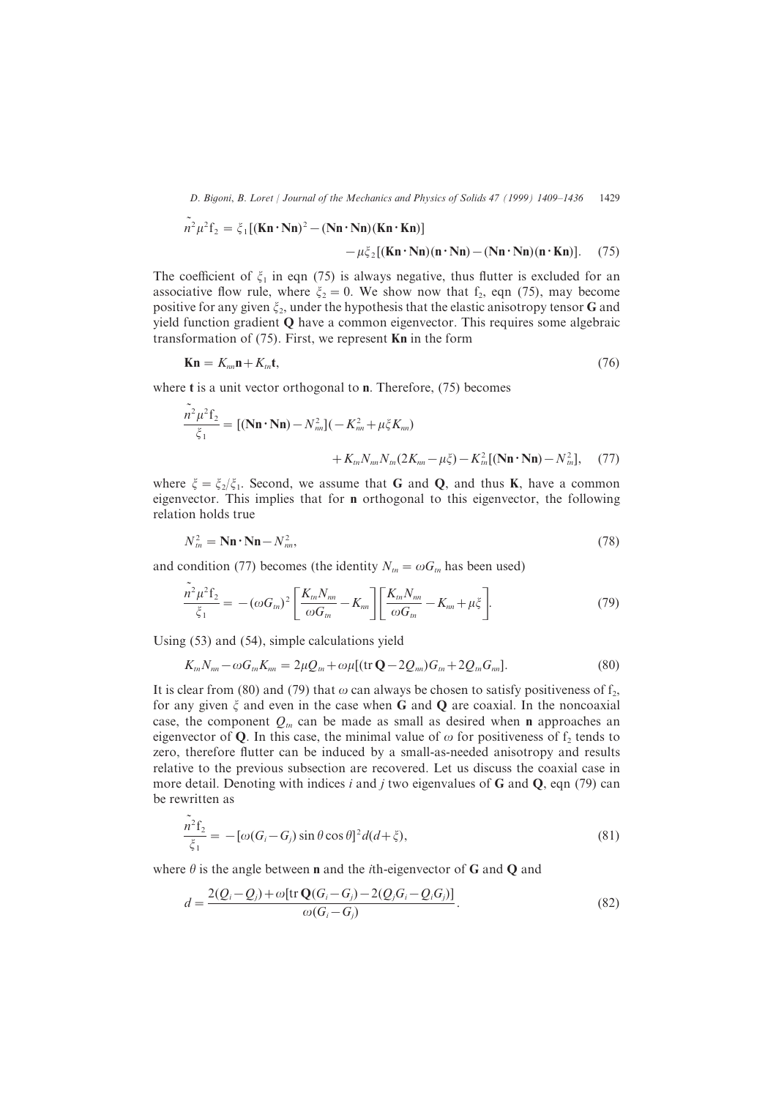$$
\tilde{n}^2 \mu^2 f_2 = \xi_1 [(\mathbf{Kn} \cdot \mathbf{Nn})^2 - (\mathbf{Nn} \cdot \mathbf{Nn})(\mathbf{Kn} \cdot \mathbf{Kn})] \n- \mu \xi_2 [(\mathbf{Kn} \cdot \mathbf{Nn})(\mathbf{n} \cdot \mathbf{Nn}) - (\mathbf{Nn} \cdot \mathbf{Nn})(\mathbf{n} \cdot \mathbf{Kn})].
$$
\n(75)

The coefficient of  $\xi_1$  in eqn (75) is always negative, thus flutter is excluded for an associative flow rule, where  $\xi_2 = 0$ . We show now that f<sub>2</sub>, eqn (75), may become positive for any given  $\xi_2$ , under the hypothesis that the elastic anisotropy tensor G and yield function gradient  $Q$  have a common eigenvector. This requires some algebraic transformation of  $(75)$ . First, we represent Kn in the form

$$
\mathbf{Kn} = K_{nn}\mathbf{n} + K_{tn}\mathbf{t},\tag{76}
$$

where **t** is a unit vector orthogonal to **n**. Therefore,  $(75)$  becomes

$$
\frac{\tilde{n}^2 \mu^2 f_2}{\xi_1} = [(\mathbf{Nn} \cdot \mathbf{Nn}) - N_m^2](-K_m^2 + \mu \xi K_m) + K_m N_m N_m (2K_m - \mu \xi) - K_m^2 [(\mathbf{Nn} \cdot \mathbf{Nn}) - N_m^2], \quad (77)
$$

where  $\xi = \xi_2/\xi_1$ . Second, we assume that G and Q, and thus K, have a common eigenvector. This implies that for  $\bf{n}$  orthogonal to this eigenvector, the following relation holds true

$$
N_m^2 = \mathbf{N} \mathbf{n} \cdot \mathbf{N} \mathbf{n} - N_m^2,\tag{78}
$$

and condition (77) becomes (the identity  $N_m = \omega G_m$  has been used)

$$
\frac{\tilde{n}^2 \mu^2 f_2}{\xi_1} = -(\omega G_m)^2 \left[ \frac{K_m N_{nn}}{\omega G_m} - K_{nn} \right] \left[ \frac{K_m N_{nn}}{\omega G_m} - K_{nn} + \mu \xi \right].
$$
\n(79)

Using  $(53)$  and  $(54)$ , simple calculations yield

$$
K_{m}N_{nn} - \omega G_{m}K_{nn} = 2\mu Q_{nn} + \omega\mu[(\text{tr}\,\mathbf{Q} - 2Q_{nn})G_{nn} + 2Q_{nn}G_{nn}].
$$
\n(80)

It is clear from (80) and (79) that  $\omega$  can always be chosen to satisfy positiveness of f<sub>2</sub>, for any given  $\zeta$  and even in the case when G and Q are coaxial. In the noncoaxial case, the component  $Q_{tn}$  can be made as small as desired when n approaches an eigenvector of **Q**. In this case, the minimal value of  $\omega$  for positiveness of  $f_2$  tends to zero, therefore flutter can be induced by a small-as-needed anisotropy and results relative to the previous subsection are recovered. Let us discuss the coaxial case in more detail. Denoting with indices i and j two eigenvalues of G and Q, eqn (79) can be rewritten as

$$
\frac{\tilde{n}^2 f_2}{\xi_1} = -[\omega(G_i - G_j)\sin\theta\cos\theta]^2 d(d+\xi),\tag{81}
$$

where  $\theta$  is the angle between **n** and the *i*th-eigenvector of **G** and **Q** and

$$
d = \frac{2(Q_i - Q_j) + \omega[\text{tr}\,\mathbf{Q}(G_i - G_j) - 2(Q_j G_i - Q_i G_j)]}{\omega(G_i - G_j)}.
$$
\n(82)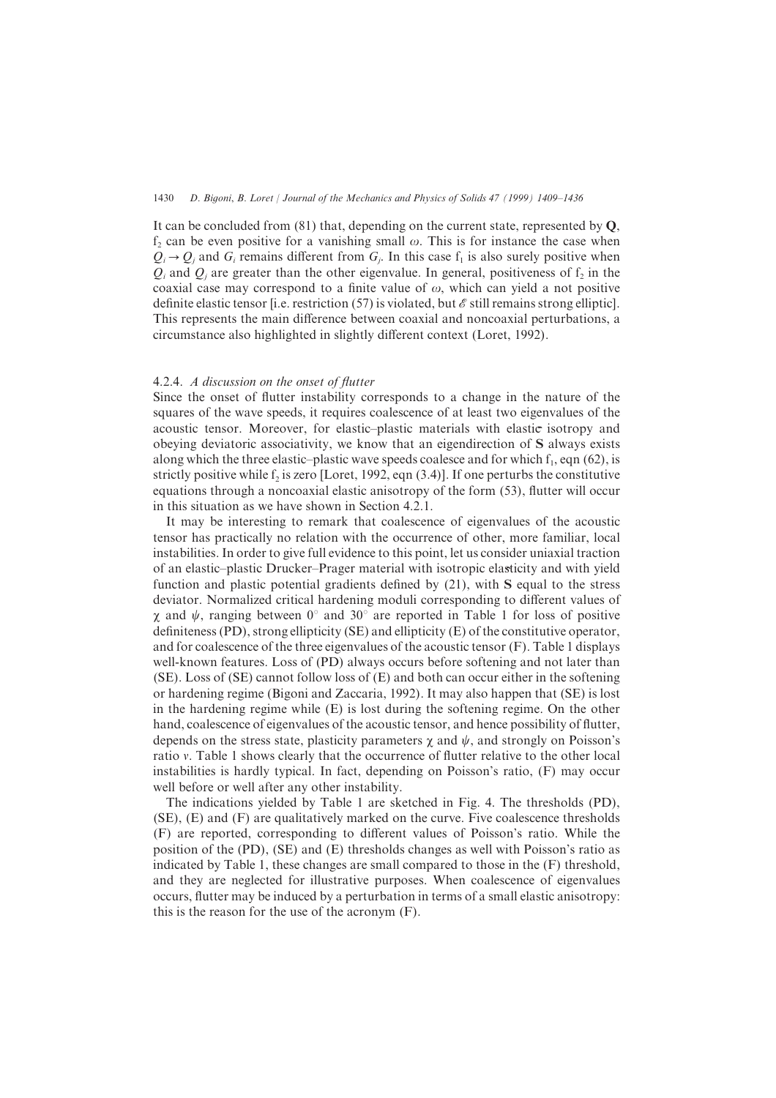It can be concluded from  $(81)$  that, depending on the current state, represented by  $\mathbf{Q}$ , f<sub>2</sub> can be even positive for a vanishing small  $\omega$ . This is for instance the case when  $Q_i \rightarrow Q_j$  and  $G_i$  remains different from  $G_j$ . In this case  $f_1$  is also surely positive when  $Q_i$  and  $Q_i$  are greater than the other eigenvalue. In general, positiveness of  $f_2$  in the coaxial case may correspond to a finite value of  $\omega$ , which can yield a not positive definite elastic tensor [i.e. restriction (57) is violated, but  $\mathscr E$  still remains strong elliptic. This represents the main difference between coaxial and noncoaxial perturbations, a circumstance also highlighted in slightly different context (Loret, 1992).

# 4.2.4. A discussion on the onset of flutter

Since the onset of flutter instability corresponds to a change in the nature of the squares of the wave speeds, it requires coalescence of at least two eigenvalues of the acoustic tensor. Moreover, for elastic–plastic materials with elastic isotropy and obeying deviatoric associativity, we know that an eigendirection of S always exists along which the three elastic–plastic wave speeds coalesce and for which  $f_1$ , eqn (62), is strictly positive while  $f_2$  is zero [Loret, 1992, eqn (3.4)]. If one perturbs the constitutive equations through a noncoaxial elastic anisotropy of the form  $(53)$ , flutter will occur in this situation as we have shown in Section 4.2.1.

It may be interesting to remark that coalescence of eigenvalues of the acoustic tensor has practically no relation with the occurrence of other\ more familiar\ local instabilities. In order to give full evidence to this point, let us consider uniaxial traction of an elastic–plastic Drucker–Prager material with isotropic elasticity and with yield function and plastic potential gradients defined by  $(21)$ , with S equal to the stress deviator. Normalized critical hardening moduli corresponding to different values of  $\chi$  and  $\psi$ , ranging between 0° and 30° are reported in Table 1 for loss of positive definiteness (PD), strong ellipticity (SE) and ellipticity  $(E)$  of the constitutive operator, and for coalescence of the three eigenvalues of the acoustic tensor  $(F)$ . Table 1 displays well-known features. Loss of (PD) always occurs before softening and not later than  $(SE)$ . Loss of  $(SE)$  cannot follow loss of  $(E)$  and both can occur either in the softening or hardening regime (Bigoni and Zaccaria, 1992). It may also happen that  $(SE)$  is lost in the hardening regime while  $(E)$  is lost during the softening regime. On the other hand, coalescence of eigenvalues of the acoustic tensor, and hence possibility of flutter. depends on the stress state, plasticity parameters  $\chi$  and  $\psi$ , and strongly on Poisson's ratio  $\nu$ . Table 1 shows clearly that the occurrence of flutter relative to the other local instabilities is hardly typical. In fact, depending on Poisson's ratio,  $(F)$  may occur well before or well after any other instability.

The indications yielded by Table 1 are sketched in Fig. 4. The thresholds  $(PD)$ ,  $(SE)$ ,  $(E)$  and  $(F)$  are qualitatively marked on the curve. Five coalescence thresholds (F) are reported, corresponding to different values of Poisson's ratio. While the position of the  $(PD)$ ,  $(SE)$  and  $(E)$  thresholds changes as well with Poisson's ratio as indicated by Table 1, these changes are small compared to those in the  $(F)$  threshold, and they are neglected for illustrative purposes. When coalescence of eigenvalues occurs, flutter may be induced by a perturbation in terms of a small elastic anisotropy: this is the reason for the use of the acronym  $(F)$ .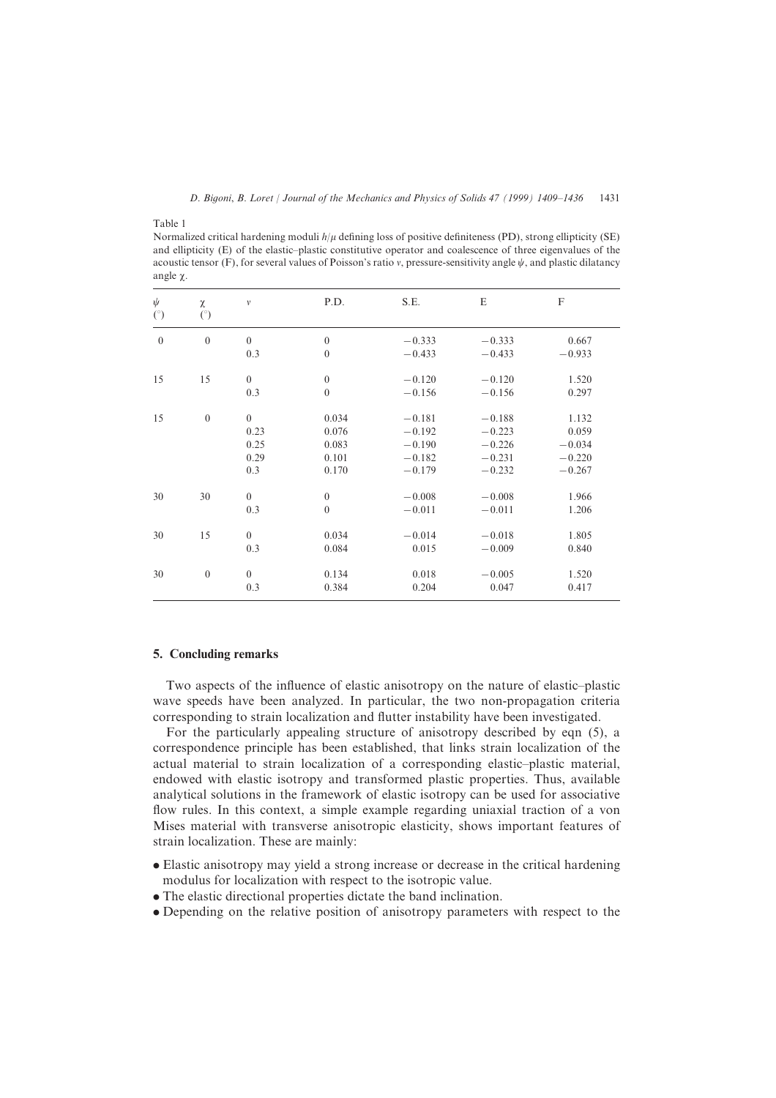Table 1

Normalized critical hardening moduli  $h/\mu$  defining loss of positive definiteness (PD), strong ellipticity (SE) and ellipticity (E) of the elastic–plastic constitutive operator and coalescence of three eigenvalues of the acoustic tensor (F), for several values of Poisson's ratio v, pressure-sensitivity angle  $\psi$ , and plastic dilatancy angle  $\chi$ .

| $\psi$<br>$^{\circ}$ | χ<br>(°)       | $\boldsymbol{\nu}$                            | P.D.                                      | S.E.                                                     | E                                                        | F                                                  |
|----------------------|----------------|-----------------------------------------------|-------------------------------------------|----------------------------------------------------------|----------------------------------------------------------|----------------------------------------------------|
| $\overline{0}$       | $\overline{0}$ | $\theta$<br>0.3                               | $\overline{0}$<br>$\mathbf{0}$            | $-0.333$<br>$-0.433$                                     | $-0.333$<br>$-0.433$                                     | 0.667<br>$-0.933$                                  |
| 15                   | 15             | $\mathbf{0}$<br>0.3                           | $\boldsymbol{0}$<br>$\boldsymbol{0}$      | $-0.120$<br>$-0.156$                                     | $-0.120$<br>$-0.156$                                     | 1.520<br>0.297                                     |
| 15                   | $\overline{0}$ | $\overline{0}$<br>0.23<br>0.25<br>0.29<br>0.3 | 0.034<br>0.076<br>0.083<br>0.101<br>0.170 | $-0.181$<br>$-0.192$<br>$-0.190$<br>$-0.182$<br>$-0.179$ | $-0.188$<br>$-0.223$<br>$-0.226$<br>$-0.231$<br>$-0.232$ | 1.132<br>0.059<br>$-0.034$<br>$-0.220$<br>$-0.267$ |
| 30                   | 30             | $\mathbf{0}$<br>0.3                           | $\boldsymbol{0}$<br>$\boldsymbol{0}$      | $-0.008$<br>$-0.011$                                     | $-0.008$<br>$-0.011$                                     | 1.966<br>1.206                                     |
| 30                   | 15             | $\overline{0}$<br>0.3                         | 0.034<br>0.084                            | $-0.014$<br>0.015                                        | $-0.018$<br>$-0.009$                                     | 1.805<br>0.840                                     |
| 30                   | $\overline{0}$ | $\mathbf{0}$<br>0.3                           | 0.134<br>0.384                            | 0.018<br>0.204                                           | $-0.005$<br>0.047                                        | 1.520<br>0.417                                     |

### 5. Concluding remarks

Two aspects of the influence of elastic anisotropy on the nature of elastic-plastic wave speeds have been analyzed. In particular, the two non-propagation criteria corresponding to strain localization and flutter instability have been investigated.

For the particularly appealing structure of anisotropy described by eqn  $(5)$ , a correspondence principle has been established\ that links strain localization of the actual material to strain localization of a corresponding elastic–plastic material, endowed with elastic isotropy and transformed plastic properties. Thus, available analytical solutions in the framework of elastic isotropy can be used for associative flow rules. In this context, a simple example regarding uniaxial traction of a von Mises material with transverse anisotropic elasticity, shows important features of strain localization. These are mainly:

- , Elastic anisotropy may yield a strong increase or decrease in the critical hardening modulus for localization with respect to the isotropic value.
- $\bullet$  The elastic directional properties dictate the band inclination.
- , Depending on the relative position of anisotropy parameters with respect to the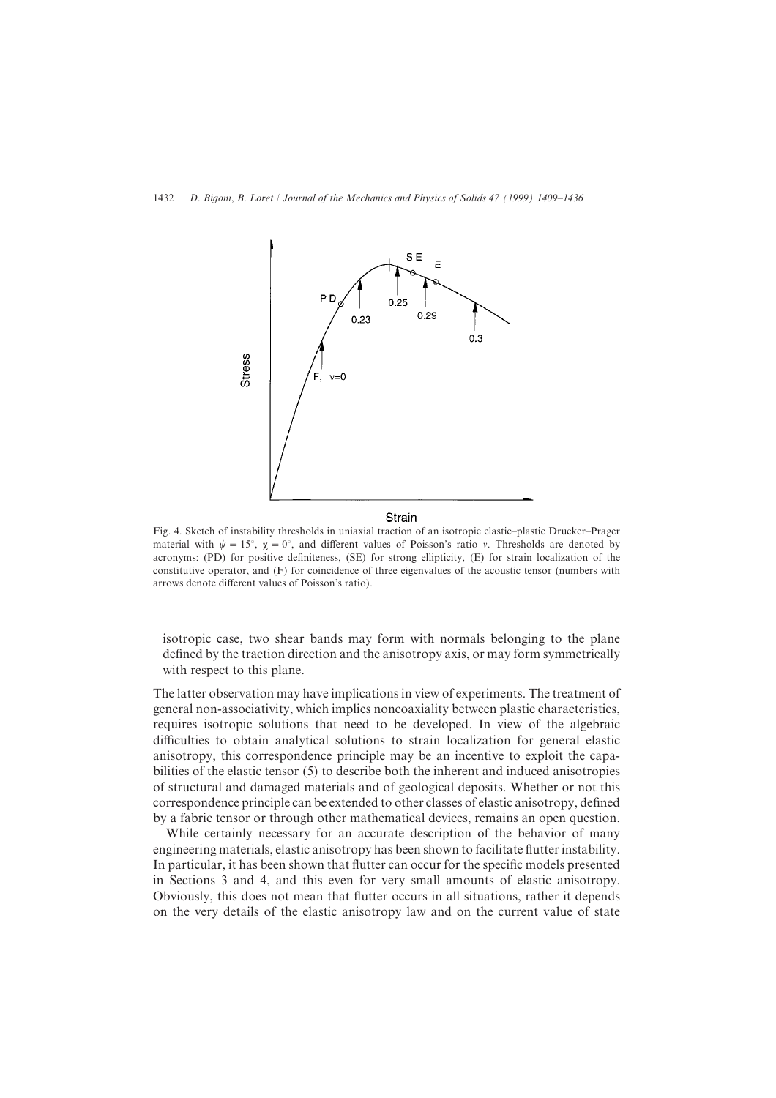

Strain

Fig. 4. Sketch of instability thresholds in uniaxial traction of an isotropic elastic–plastic Drucker–Prager material with  $\psi = 15^\circ$ ,  $\chi = 0^\circ$ , and different values of Poisson's ratio v. Thresholds are denoted by acronyms: (PD) for positive definiteness, (SE) for strong ellipticity, (E) for strain localization of the constitutive operator, and (F) for coincidence of three eigenvalues of the acoustic tensor (numbers with arrows denote different values of Poisson's ratio).

isotropic case, two shear bands may form with normals belonging to the plane defined by the traction direction and the anisotropy axis, or may form symmetrically with respect to this plane.

The latter observation may have implications in view of experiments. The treatment of general non-associativity, which implies noncoaxiality between plastic characteristics, requires isotropic solutions that need to be developed. In view of the algebraic difficulties to obtain analytical solutions to strain localization for general elastic anisotropy, this correspondence principle may be an incentive to exploit the capabilities of the elastic tensor  $(5)$  to describe both the inherent and induced anisotropies of structural and damaged materials and of geological deposits[ Whether or not this correspondence principle can be extended to other classes of elastic anisotropy, defined by a fabric tensor or through other mathematical devices, remains an open question.

While certainly necessary for an accurate description of the behavior of many engineering materials, elastic anisotropy has been shown to facilitate flutter instability. In particular, it has been shown that flutter can occur for the specific models presented in Sections  $3$  and  $4$ , and this even for very small amounts of elastic anisotropy. Obviously, this does not mean that flutter occurs in all situations, rather it depends on the very details of the elastic anisotropy law and on the current value of state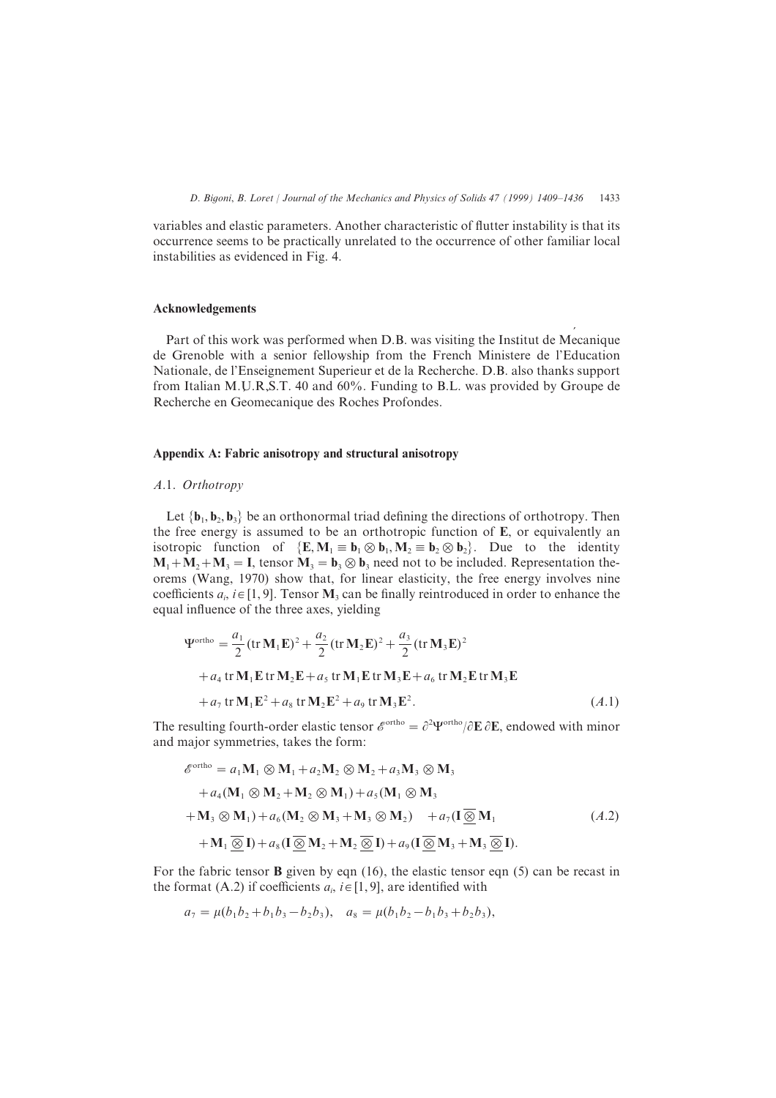variables and elastic parameters. Another characteristic of flutter instability is that its occurrence seems to be practically unrelated to the occurrence of other familiar local instabilities as evidenced in Fig. 4.

# Acknowledgements

Part of this work was performed when D.B. was visiting the Institut de Mecanique de Grenoble with a senior fellowship from the French Ministere de l'Education Nationale, de l'Enseignement Superieur et de la Recherche. D.B. also thanks support from Italian M.U.R.S.T. 40 and  $60\%$ . Funding to B.L. was provided by Groupe de Recherche en Geomecanique des Roches Profondes.

# Appendix A: Fabric anisotropy and structural anisotropy

# A.1. Orthotropy

Let  $\{b_1, b_2, b_3\}$  be an orthonormal triad defining the directions of orthotropy. Then the free energy is assumed to be an orthotropic function of  $E$ , or equivalently an isotropic function of  $\{E, M_1 \equiv b_1 \otimes b_1, M_2 \equiv b_2 \otimes b_2\}$ . Due to the identity  $M_1 + M_2 + M_3 = I$ , tensor  $M_2 = b_2 \otimes b_2$  need not to be included. Representation theorems (Wang,  $1970$ ) show that, for linear elasticity, the free energy involves nine coefficients  $a_i$ ,  $i \in [1, 9]$ . Tensor  $M_3$  can be finally reintroduced in order to enhance the equal influence of the three axes, yielding

$$
\Psi^{\text{ortho}} = \frac{a_1}{2} (\text{tr} \, \mathbf{M}_1 \mathbf{E})^2 + \frac{a_2}{2} (\text{tr} \, \mathbf{M}_2 \mathbf{E})^2 + \frac{a_3}{2} (\text{tr} \, \mathbf{M}_3 \mathbf{E})^2 + a_4 \, \text{tr} \, \mathbf{M}_1 \mathbf{E} \, \text{tr} \, \mathbf{M}_2 \mathbf{E} + a_5 \, \text{tr} \, \mathbf{M}_1 \mathbf{E} \, \text{tr} \, \mathbf{M}_3 \mathbf{E} + a_6 \, \text{tr} \, \mathbf{M}_2 \mathbf{E} \, \text{tr} \, \mathbf{M}_3 \mathbf{E} + a_7 \, \text{tr} \, \mathbf{M}_1 \mathbf{E}^2 + a_8 \, \text{tr} \, \mathbf{M}_2 \mathbf{E}^2 + a_9 \, \text{tr} \, \mathbf{M}_3 \mathbf{E}^2.
$$
\n(4.1)

The resulting fourth-order elastic tensor  $\mathscr{E}^{\text{ortho}} = \partial^2 \Psi^{\text{ortho}}/\partial E \partial E$ , endowed with minor and major symmetries, takes the form:

$$
\begin{split}\n\mathscr{E}^{\text{ortho}} &= a_1 \mathbf{M}_1 \otimes \mathbf{M}_1 + a_2 \mathbf{M}_2 \otimes \mathbf{M}_2 + a_3 \mathbf{M}_3 \otimes \mathbf{M}_3 \\
&\quad + a_4 (\mathbf{M}_1 \otimes \mathbf{M}_2 + \mathbf{M}_2 \otimes \mathbf{M}_1) + a_5 (\mathbf{M}_1 \otimes \mathbf{M}_3 \\
&\quad + \mathbf{M}_3 \otimes \mathbf{M}_1) + a_6 (\mathbf{M}_2 \otimes \mathbf{M}_3 + \mathbf{M}_3 \otimes \mathbf{M}_2) \quad &\quad + a_7 (\mathbf{I} \otimes \mathbf{M}_1) \\
&\quad + \mathbf{M}_1 \otimes \mathbf{I}) + a_8 (\mathbf{I} \otimes \mathbf{M}_2 + \mathbf{M}_2 \otimes \mathbf{I}) + a_9 (\mathbf{I} \otimes \mathbf{M}_3 + \mathbf{M}_3 \otimes \mathbf{I}).\n\end{split} \tag{A.2}
$$

For the fabric tensor **B** given by eqn  $(16)$ , the elastic tensor eqn  $(5)$  can be recast in the format (A.2) if coefficients  $a_i$ ,  $i \in [1, 9]$ , are identified with

$$
a_7 = \mu(b_1b_2 + b_1b_3 - b_2b_3), \quad a_8 = \mu(b_1b_2 - b_1b_3 + b_2b_3),
$$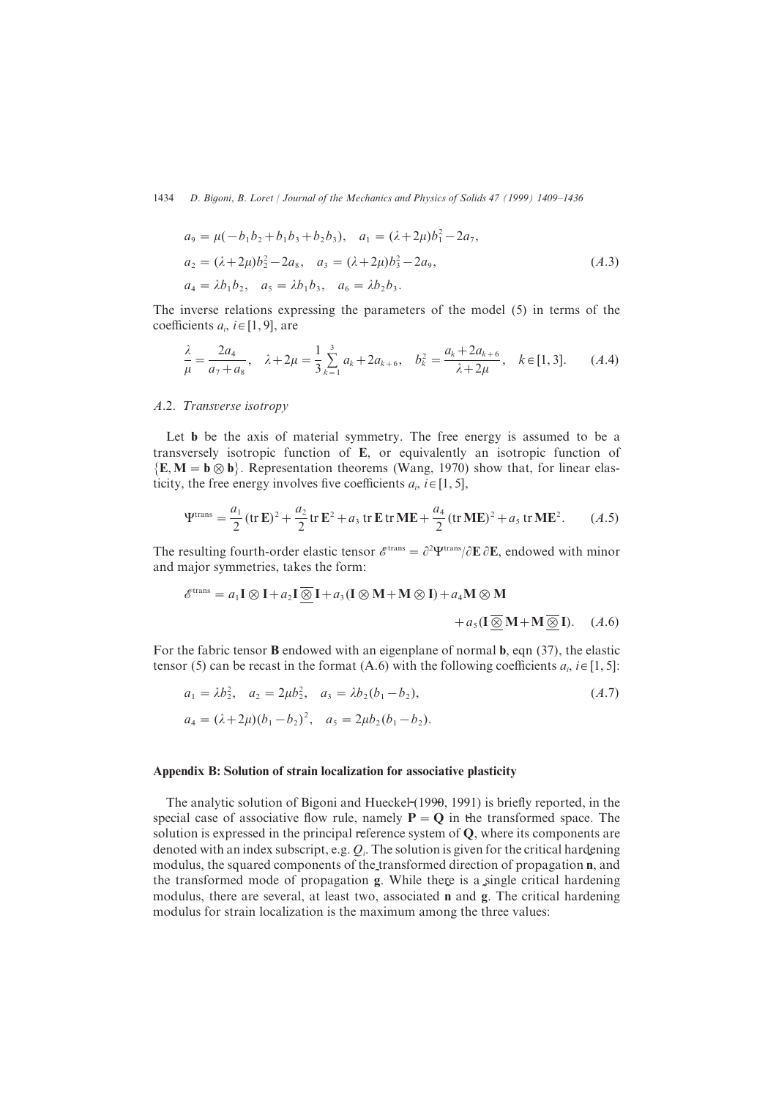$$
a_9 = \mu(-b_1b_2 + b_1b_3 + b_2b_3), \quad a_1 = (\lambda + 2\mu)b_1^2 - 2a_7,
$$
  
\n
$$
a_2 = (\lambda + 2\mu)b_2^2 - 2a_8, \quad a_3 = (\lambda + 2\mu)b_3^2 - 2a_9,
$$
  
\n
$$
a_4 = \lambda b_1b_2, \quad a_5 = \lambda b_1b_3, \quad a_6 = \lambda b_2b_3.
$$
\n
$$
(A.3)
$$

The inverse relations expressing the parameters of the model  $(5)$  in terms of the coefficients  $a_i$ ,  $i \in [1, 9]$ , are

$$
\frac{\lambda}{\mu} = \frac{2a_4}{a_7 + a_8}, \quad \lambda + 2\mu = \frac{1}{3} \sum_{k=1}^3 a_k + 2a_{k+6}, \quad b_k^2 = \frac{a_k + 2a_{k+6}}{\lambda + 2\mu}, \quad k \in [1, 3]. \tag{A.4}
$$

# A.2. Transverse isotropy

Let  $\bf{b}$  be the axis of material symmetry. The free energy is assumed to be a transversely isotropic function of  $E$ , or equivalently an isotropic function of  $\{E, M = b \otimes b\}$ . Representation theorems (Wang, 1970) show that, for linear elasticity, the free energy involves five coefficients  $a_i$ ,  $i \in [1, 5]$ ,

$$
\Psi^{\text{trans}} = \frac{a_1}{2} (\text{tr } \mathbf{E})^2 + \frac{a_2}{2} \text{tr } \mathbf{E}^2 + a_3 \text{ tr } \mathbf{E} \,\text{tr}\,\mathbf{M} \mathbf{E} + \frac{a_4}{2} (\text{tr } \mathbf{M} \mathbf{E})^2 + a_5 \text{ tr } \mathbf{M} \mathbf{E}^2. \tag{A.5}
$$

The resulting fourth-order elastic tensor  $\mathscr{E}^{\text{trans}} = \frac{\partial^2 \Psi^{\text{trans}}}{\partial E \partial E}$ , endowed with minor and major symmetries, takes the form:

$$
\mathscr{E}^{\text{trans}} = a_1 \mathbf{I} \otimes \mathbf{I} + a_2 \mathbf{I} \overline{\otimes} \mathbf{I} + a_3 (\mathbf{I} \otimes \mathbf{M} + \mathbf{M} \otimes \mathbf{I}) + a_4 \mathbf{M} \otimes \mathbf{M} + a_5 (\mathbf{I} \overline{\otimes} \mathbf{M} + \mathbf{M} \overline{\otimes} \mathbf{I}). \quad (A.6)
$$

For the fabric tensor **B** endowed with an eigenplane of normal **b**, eqn  $(37)$ , the elastic tensor (5) can be recast in the format (A.6) with the following coefficients  $a_i$ ,  $i \in [1, 5]$ :

$$
a_1 = \lambda b_2^2, \quad a_2 = 2\mu b_2^2, \quad a_3 = \lambda b_2 (b_1 - b_2),
$$
  
\n
$$
a_4 = (\lambda + 2\mu)(b_1 - b_2)^2, \quad a_5 = 2\mu b_2 (b_1 - b_2).
$$
\n
$$
(A.7)
$$

#### Appendix B: Solution of strain localization for associative plasticity

The analytic solution of Bigoni and Hueckel  $(1990, 1991)$  is briefly reported, in the The analytic solution of Bigoin and Huecker(1990, 1991) is offerly reported, in the special case of associative flow rule, namely  $P = Q$  in the transformed space. The solution is expressed in the principal reference system of  $\bf Q$ , where its components are denoted with an index subscript, e.g.  $Q_i$ . The solution is given for the critical hardening modulus, the squared components of the transformed direction of propagation  $n$ , and the transformed mode of propagation g. While there is a single critical hardening modulus, there are several, at least two, associated **n** and **g**. The critical hardening modulus, there are several, at least two, associated **n** and **g**. The critical hardening modulus for strain localization is the maximum among the three values: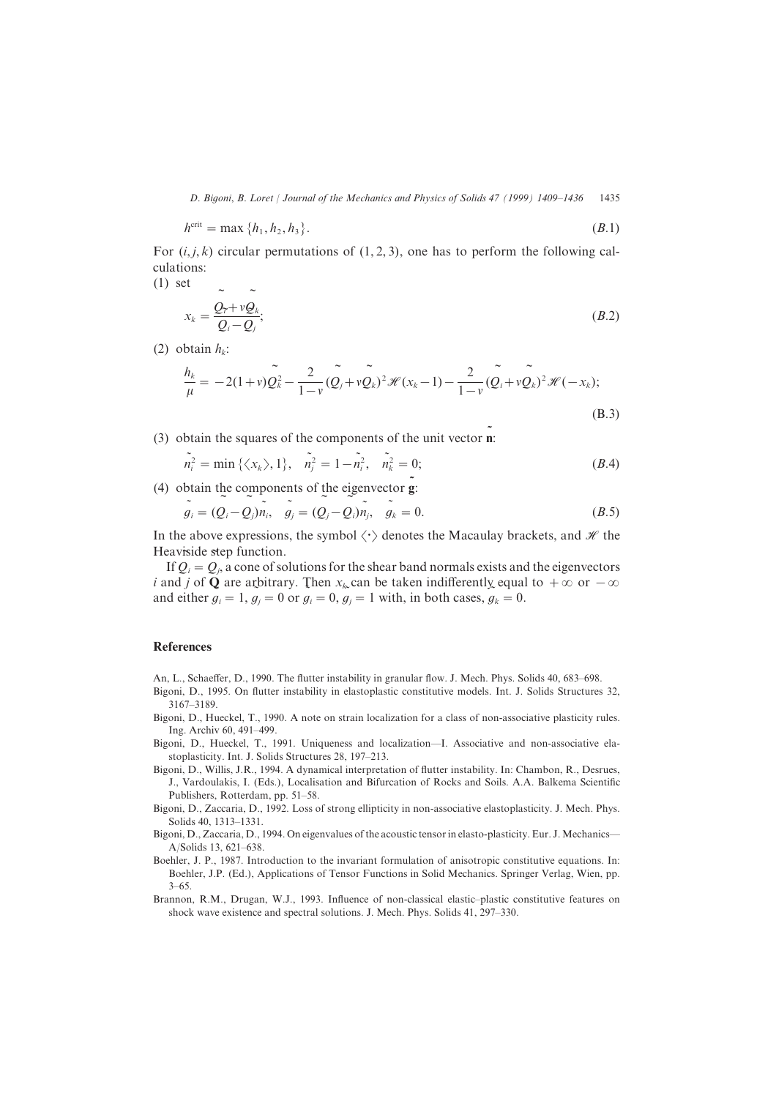$$
h^{\text{crit}} = \max\left\{h_1, h_2, h_3\right\}.
$$
\n(B.1)

For  $(i, j, k)$  circular permutations of  $(1, 2, 3)$ , one has to perform the following calculations:

 $(1)$  set

$$
x_k = \frac{Q_r + vQ_k}{Q_i - Q_j};\tag{B.2}
$$

(2) obtain  $h_k$ :

$$
\frac{h_k}{\mu} = -2(1+v)\tilde{Q}_k^2 - \frac{2}{1-v}(\tilde{Q}_j + v\tilde{Q}_k)^2 \mathcal{H}(x_k - 1) - \frac{2}{1-v}(\tilde{Q}_i + v\tilde{Q}_k)^2 \mathcal{H}(-x_k);
$$
\n(B.3)

(3) obtain the squares of the components of the unit vector  $\mathbf{\tilde{n}}$ :

$$
\tilde{n}_i^2 = \min \{ \langle x_k \rangle, 1 \}, \quad \tilde{n}_j^2 = 1 - \tilde{n}_i^2, \quad \tilde{n}_k^2 = 0; \tag{B.4}
$$

(4) obtain the components of the eigenvector  $\tilde{g}$ :

$$
\tilde{g}_i = (Q_i - Q_j)\tilde{n}_i, \quad \tilde{g}_j = (Q_j - Q_i)\tilde{n}_j, \quad \tilde{g}_k = 0.
$$
\n(B.5)

In the above expressions, the symbol  $\langle \cdot \rangle$  denotes the Macaulay brackets, and  $\mathcal{H}$  the Heaviside step function.

 $\text{If } Q_i = Q_i$  $_{i}$ , a cone of solutions for the shear band normals exists and the eigenvectors i and j of Q are arbitrary. Then  $x_k$  can be taken indifferently equal to  $+\infty$  or  $-\infty$ and either  $g_i = 1$ ,  $g_j = 0$  or  $g_i = 0$ ,  $g_j = 1$  with, in both cases,  $g_k = 0$ .

#### References

An, L., Schaeffer, D., 1990. The flutter instability in granular flow. J. Mech. Phys. Solids 40, 683-698.

- Bigoni, D., 1995. On flutter instability in elastoplastic constitutive models. Int. J. Solids Structures 32, 3167-3189
- Bigoni, D., Hueckel, T., 1990. A note on strain localization for a class of non-associative plasticity rules. Ing. Archiv 60, 491-499.
- Bigoni, D., Hueckel, T., 1991. Uniqueness and localization—I. Associative and non-associative elastoplasticity. Int. J. Solids Structures 28, 197-213.
- Bigoni, D., Willis, J.R., 1994. A dynamical interpretation of flutter instability. In: Chambon, R., Desrues, J., Vardoulakis, I. (Eds.), Localisation and Bifurcation of Rocks and Soils. A.A. Balkema Scientific Publishers, Rotterdam, pp. 51–58.
- Bigoni, D., Zaccaria, D., 1992. Loss of strong ellipticity in non-associative elastoplasticity. J. Mech. Phys. Solids 40, 1313-1331.
- Bigoni, D., Zaccaria, D., 1994. On eigenvalues of the acoustic tensor in elasto-plasticity. Eur. J. Mechanics-A/Solids 13, 621-638.
- Boehler, J. P., 1987. Introduction to the invariant formulation of anisotropic constitutive equations. In: Boehler, J.P. (Ed.), Applications of Tensor Functions in Solid Mechanics. Springer Verlag, Wien, pp.  $3 - 65$
- Brannon, R.M., Drugan, W.J., 1993. Influence of non-classical elastic–plastic constitutive features on shock wave existence and spectral solutions. J. Mech. Phys. Solids 41, 297–330.